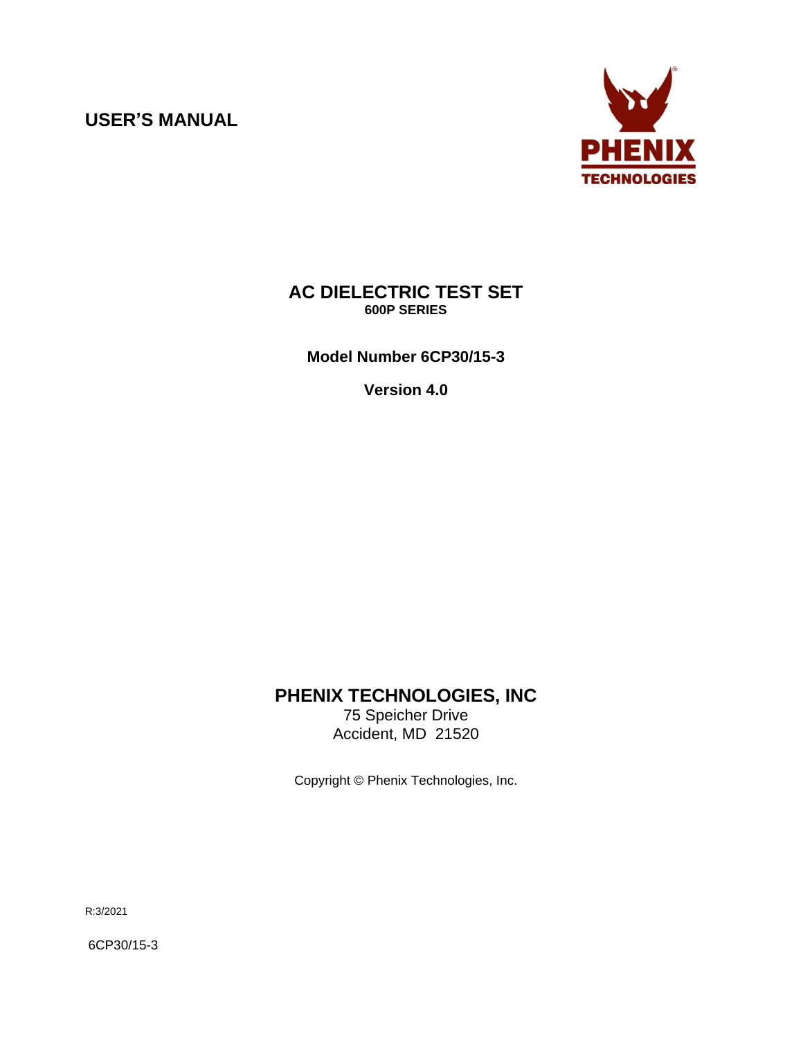# **USER'S MANUAL**



# **AC DIELECTRIC TEST SET 600P SERIES**

**Model Number 6CP30/15-3**

**Version 4.0**

# **PHENIX TECHNOLOGIES, INC**

75 Speicher Drive Accident, MD 21520

Copyright © Phenix Technologies, Inc.

R:3/2021

6CP30/15-3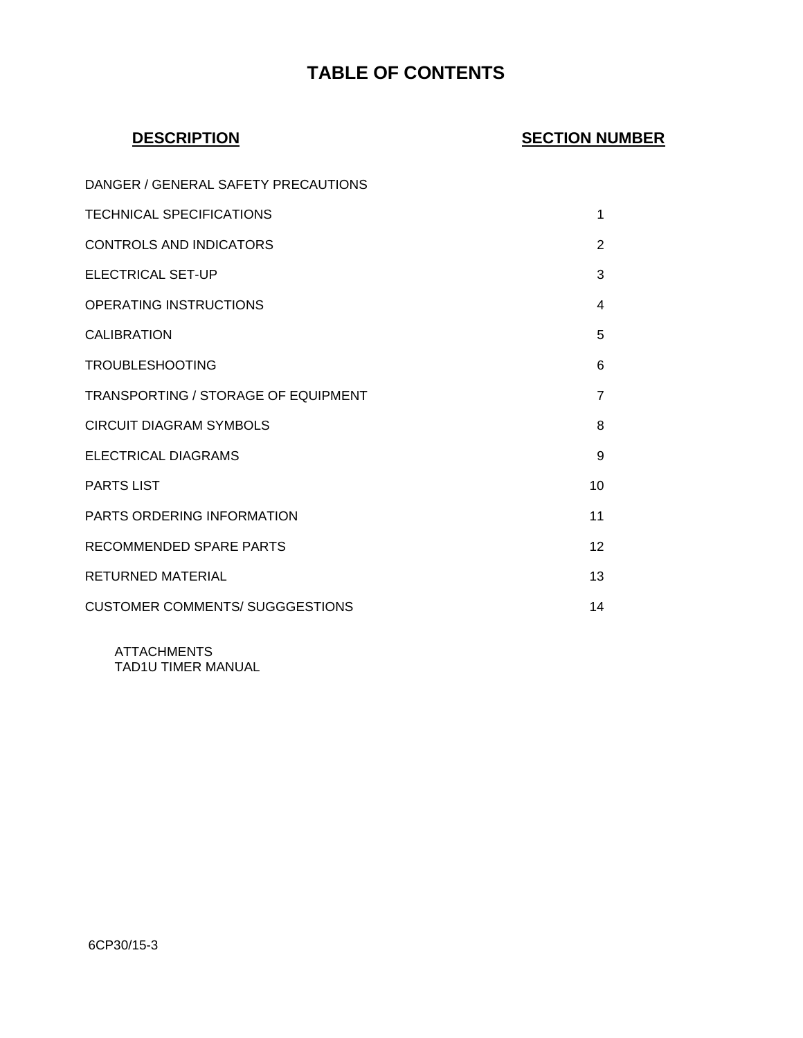# **TABLE OF CONTENTS**

# **DESCRIPTION SECTION NUMBER**

| DANGER / GENERAL SAFETY PRECAUTIONS    |    |
|----------------------------------------|----|
| <b>TECHNICAL SPECIFICATIONS</b>        | 1  |
| <b>CONTROLS AND INDICATORS</b>         | 2  |
| <b>ELECTRICAL SET-UP</b>               | 3  |
| <b>OPERATING INSTRUCTIONS</b>          | 4  |
| <b>CALIBRATION</b>                     | 5  |
| <b>TROUBLESHOOTING</b>                 | 6  |
| TRANSPORTING / STORAGE OF EQUIPMENT    | 7  |
| CIRCUIT DIAGRAM SYMBOLS                | 8  |
| <b>ELECTRICAL DIAGRAMS</b>             | 9  |
| <b>PARTS LIST</b>                      | 10 |
| PARTS ORDERING INFORMATION             | 11 |
| RECOMMENDED SPARE PARTS                | 12 |
| <b>RETURNED MATERIAL</b>               | 13 |
| <b>CUSTOMER COMMENTS/ SUGGGESTIONS</b> | 14 |

ATTACHMENTS TAD1U TIMER MANUAL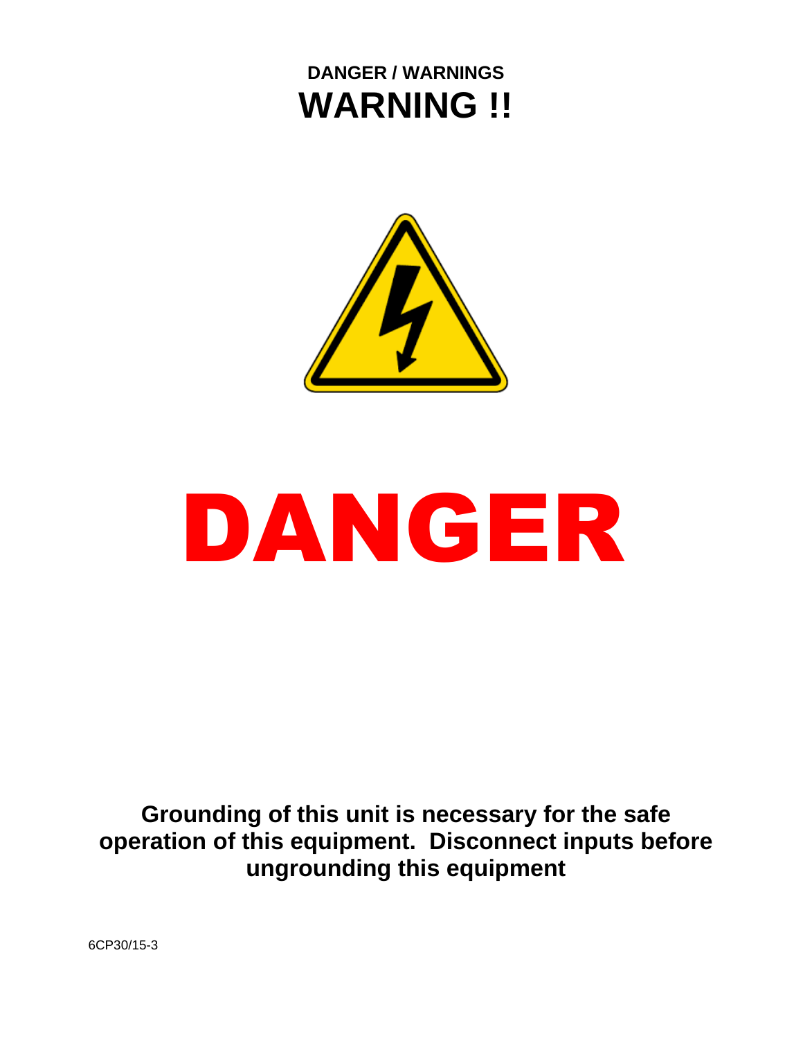# **DANGER / WARNINGS WARNING !!**



# DANGER

**Grounding of this unit is necessary for the safe operation of this equipment. Disconnect inputs before ungrounding this equipment**

6CP30/15-3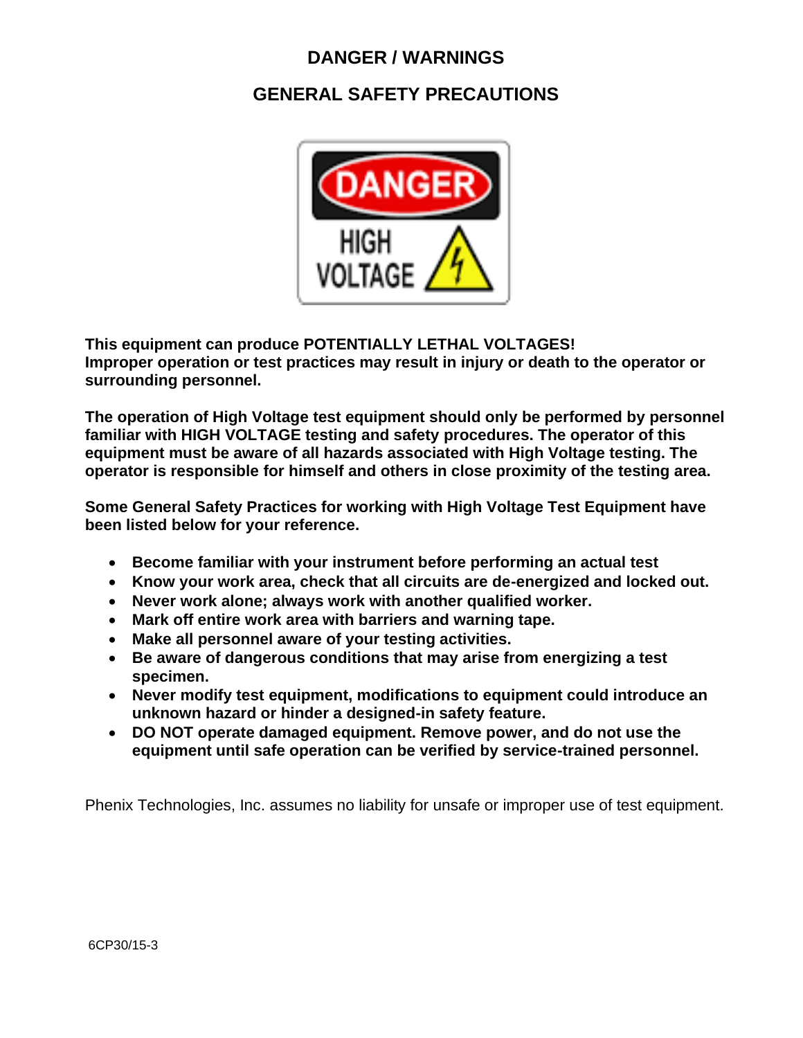# **DANGER / WARNINGS**

# **GENERAL SAFETY PRECAUTIONS**



**This equipment can produce POTENTIALLY LETHAL VOLTAGES! Improper operation or test practices may result in injury or death to the operator or surrounding personnel.**

**The operation of High Voltage test equipment should only be performed by personnel familiar with HIGH VOLTAGE testing and safety procedures. The operator of this equipment must be aware of all hazards associated with High Voltage testing. The operator is responsible for himself and others in close proximity of the testing area.** 

**Some General Safety Practices for working with High Voltage Test Equipment have been listed below for your reference.**

- **Become familiar with your instrument before performing an actual test**
- **Know your work area, check that all circuits are de-energized and locked out.**
- **Never work alone; always work with another qualified worker.**
- **Mark off entire work area with barriers and warning tape.**
- **Make all personnel aware of your testing activities.**
- **Be aware of dangerous conditions that may arise from energizing a test specimen.**
- **Never modify test equipment, modifications to equipment could introduce an unknown hazard or hinder a designed-in safety feature.**
- **DO NOT operate damaged equipment. Remove power, and do not use the equipment until safe operation can be verified by service-trained personnel.**

Phenix Technologies, Inc. assumes no liability for unsafe or improper use of test equipment.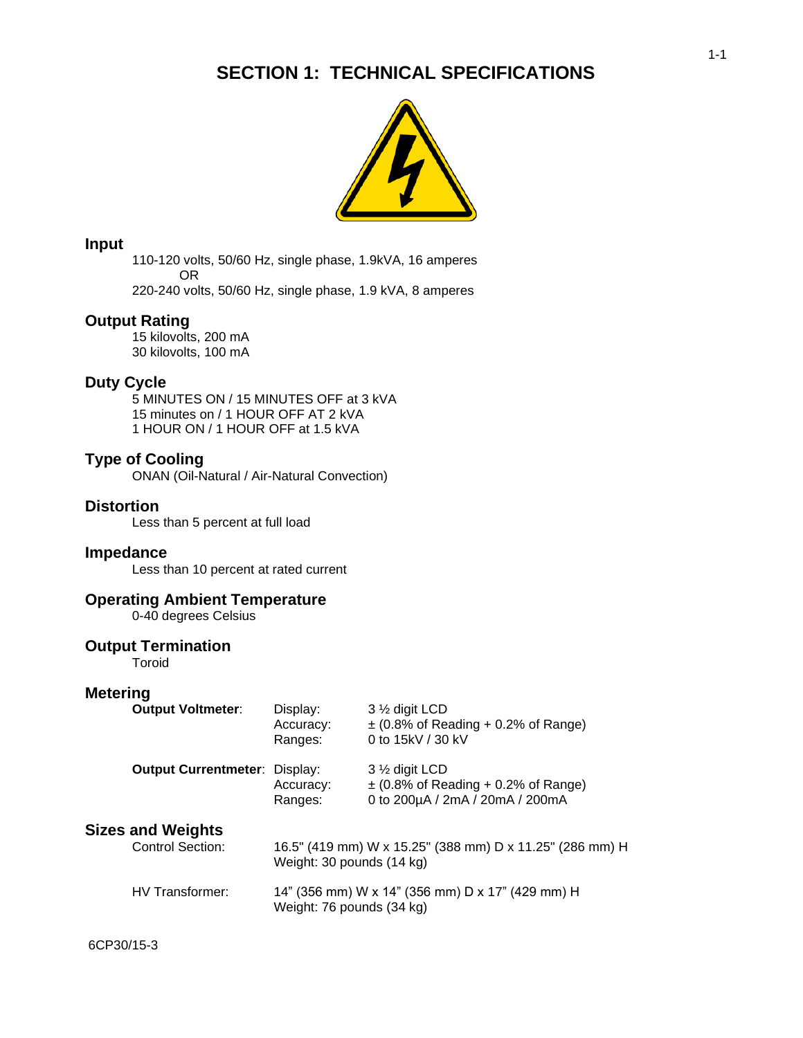# **SECTION 1: TECHNICAL SPECIFICATIONS**



### **Input**

110-120 volts, 50/60 Hz, single phase, 1.9kVA, 16 amperes OR

220-240 volts, 50/60 Hz, single phase, 1.9 kVA, 8 amperes

### **Output Rating**

15 kilovolts, 200 mA 30 kilovolts, 100 mA

# **Duty Cycle**

5 MINUTES ON / 15 MINUTES OFF at 3 kVA 15 minutes on / 1 HOUR OFF AT 2 kVA 1 HOUR ON / 1 HOUR OFF at 1.5 kVA

### **Type of Cooling**

ONAN (Oil-Natural / Air-Natural Convection)

### **Distortion**

Less than 5 percent at full load

### **Impedance**

Less than 10 percent at rated current

### **Operating Ambient Temperature**

0-40 degrees Celsius

# **Output Termination**

Toroid

### **Metering**

| <b>Output Voltmeter:</b>                     | Display:<br>Accuracy:<br>Ranges: | 3 1/2 digit LCD<br>$\pm$ (0.8% of Reading + 0.2% of Range)<br>0 to 15kV / 30 kV               |
|----------------------------------------------|----------------------------------|-----------------------------------------------------------------------------------------------|
| <b>Output Currentmeter: Display:</b>         | Accuracy:<br>Ranges:             | 3 1/2 digit LCD<br>$\pm$ (0.8% of Reading + 0.2% of Range)<br>0 to 200µA / 2mA / 20mA / 200mA |
| Sizes and Weights<br><b>Control Section:</b> | Weight: 30 pounds (14 kg)        | 16.5" (419 mm) W x 15.25" (388 mm) D x 11.25" (286 mm) H                                      |
| HV Transformer:                              | Weight: 76 pounds (34 kg)        | 14" (356 mm) W x 14" (356 mm) D x 17" (429 mm) H                                              |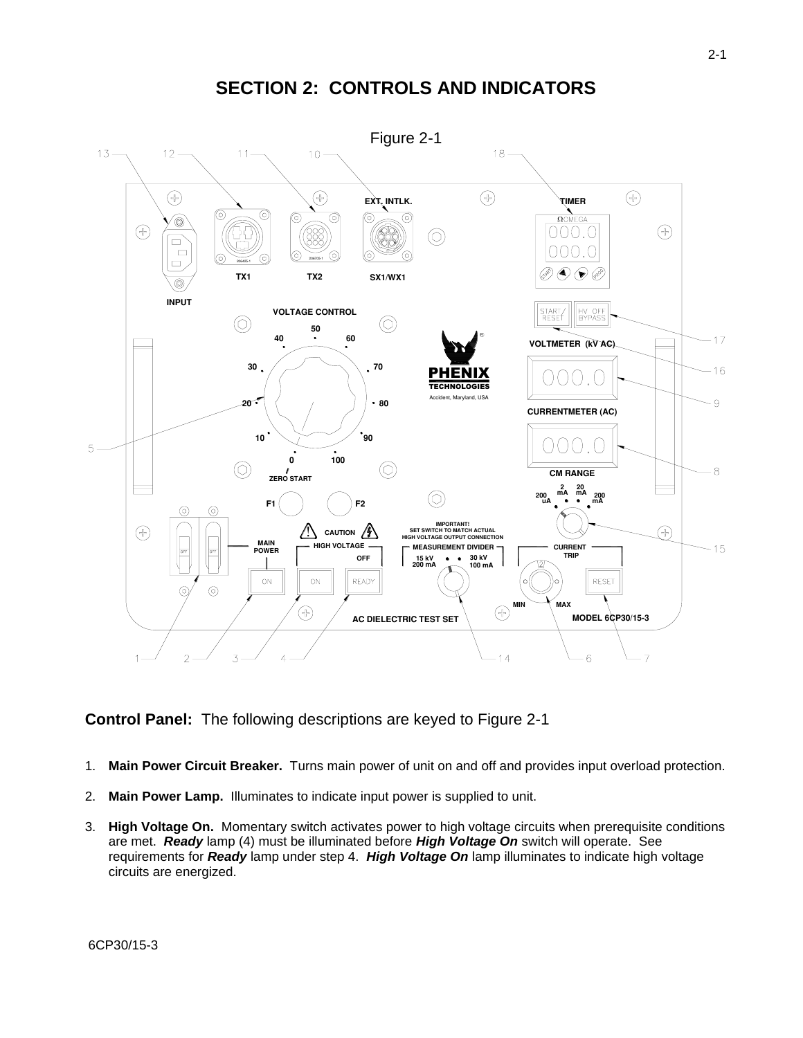# **SECTION 2: CONTROLS AND INDICATORS**



### **Control Panel:** The following descriptions are keyed to Figure 2-1

- 1. **Main Power Circuit Breaker.** Turns main power of unit on and off and provides input overload protection.
- 2. **Main Power Lamp.** Illuminates to indicate input power is supplied to unit.
- 3. **High Voltage On.** Momentary switch activates power to high voltage circuits when prerequisite conditions are met. *Ready* lamp (4) must be illuminated before *High Voltage On* switch will operate. See requirements for *Ready* lamp under step 4. *High Voltage On* lamp illuminates to indicate high voltage circuits are energized.

6CP30/15-3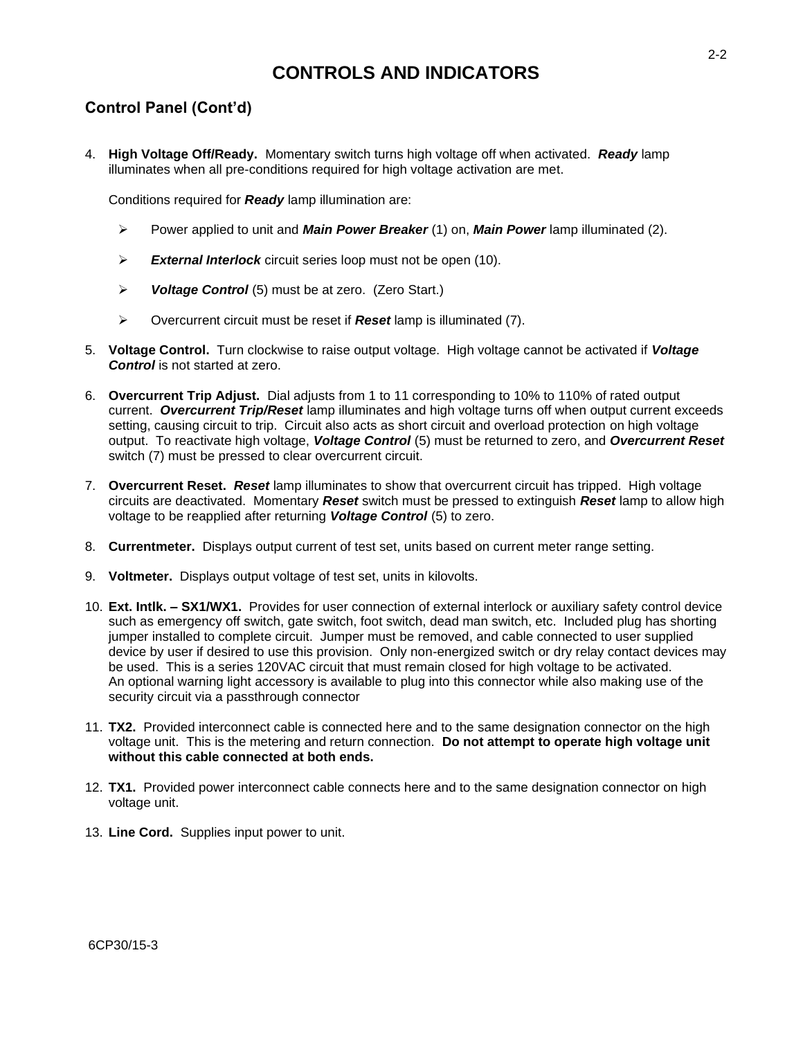# **CONTROLS AND INDICATORS**

# **Control Panel (Cont'd)**

4. **High Voltage Off/Ready.** Momentary switch turns high voltage off when activated. *Ready* lamp illuminates when all pre-conditions required for high voltage activation are met.

Conditions required for *Ready* lamp illumination are:

- ➢ Power applied to unit and *Main Power Breaker* (1) on, *Main Power* lamp illuminated (2).
- ➢ *External Interlock* circuit series loop must not be open (10).
- ➢ *Voltage Control* (5) must be at zero. (Zero Start.)
- ➢ Overcurrent circuit must be reset if *Reset* lamp is illuminated (7).
- 5. **Voltage Control.** Turn clockwise to raise output voltage. High voltage cannot be activated if *Voltage Control* is not started at zero.
- 6. **Overcurrent Trip Adjust.** Dial adjusts from 1 to 11 corresponding to 10% to 110% of rated output current. *Overcurrent Trip/Reset* lamp illuminates and high voltage turns off when output current exceeds setting, causing circuit to trip. Circuit also acts as short circuit and overload protection on high voltage output. To reactivate high voltage, *Voltage Control* (5) must be returned to zero, and *Overcurrent Reset*  switch (7) must be pressed to clear overcurrent circuit.
- 7. **Overcurrent Reset.** *Reset* lamp illuminates to show that overcurrent circuit has tripped. High voltage circuits are deactivated. Momentary *Reset* switch must be pressed to extinguish *Reset* lamp to allow high voltage to be reapplied after returning *Voltage Control* (5) to zero.
- 8. **Currentmeter.** Displays output current of test set, units based on current meter range setting.
- 9. **Voltmeter.** Displays output voltage of test set, units in kilovolts.
- 10. **Ext. Intlk. – SX1/WX1.** Provides for user connection of external interlock or auxiliary safety control device such as emergency off switch, gate switch, foot switch, dead man switch, etc. Included plug has shorting jumper installed to complete circuit. Jumper must be removed, and cable connected to user supplied device by user if desired to use this provision. Only non-energized switch or dry relay contact devices may be used. This is a series 120VAC circuit that must remain closed for high voltage to be activated. An optional warning light accessory is available to plug into this connector while also making use of the security circuit via a passthrough connector
- 11. **TX2.** Provided interconnect cable is connected here and to the same designation connector on the high voltage unit. This is the metering and return connection. **Do not attempt to operate high voltage unit without this cable connected at both ends.**
- 12. **TX1.** Provided power interconnect cable connects here and to the same designation connector on high voltage unit.
- 13. **Line Cord.** Supplies input power to unit.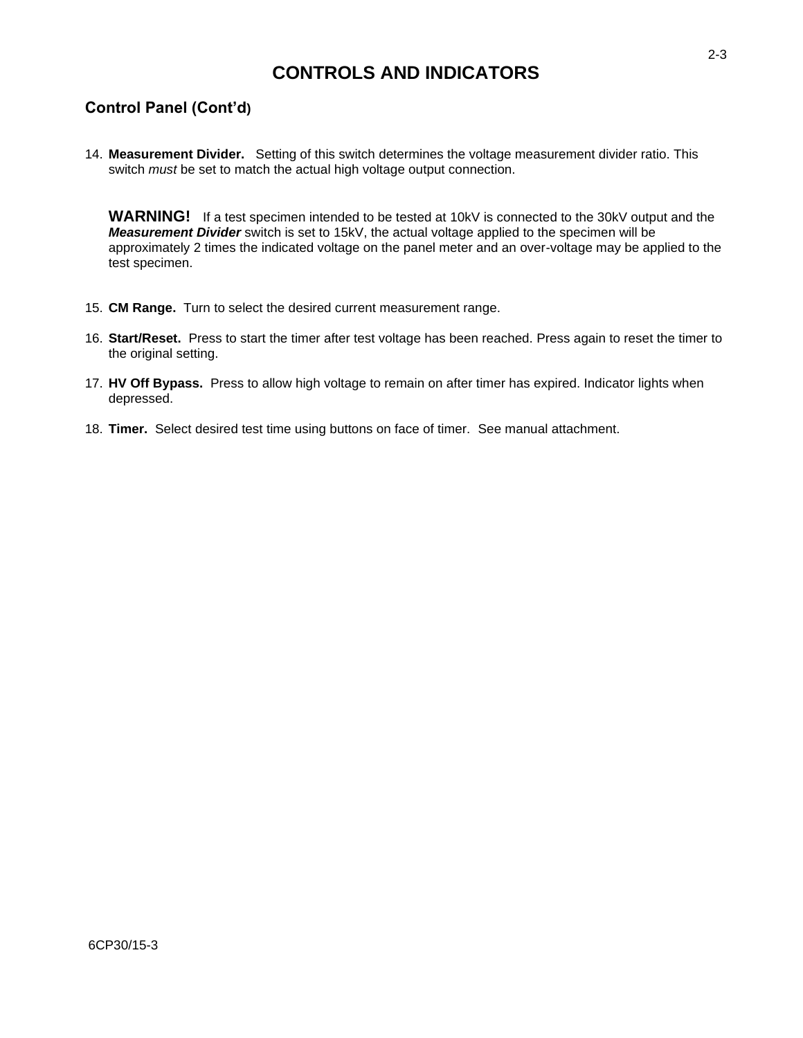# **CONTROLS AND INDICATORS**

# **Control Panel (Cont'd)**

14. **Measurement Divider.** Setting of this switch determines the voltage measurement divider ratio. This switch *must* be set to match the actual high voltage output connection.

**WARNING!** If a test specimen intended to be tested at 10kV is connected to the 30kV output and the *Measurement Divider* switch is set to 15kV, the actual voltage applied to the specimen will be approximately 2 times the indicated voltage on the panel meter and an over-voltage may be applied to the test specimen.

- 15. **CM Range.** Turn to select the desired current measurement range.
- 16. **Start/Reset.** Press to start the timer after test voltage has been reached. Press again to reset the timer to the original setting.
- 17. **HV Off Bypass.** Press to allow high voltage to remain on after timer has expired. Indicator lights when depressed.
- 18. **Timer.** Select desired test time using buttons on face of timer. See manual attachment.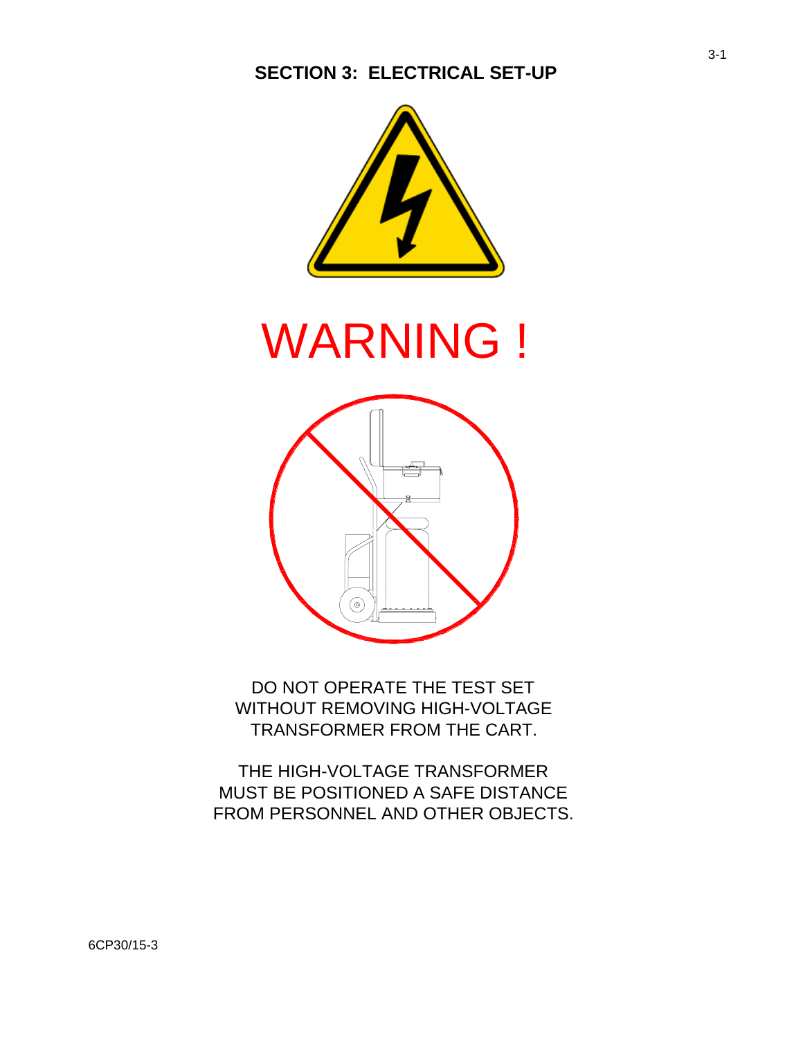

# WARNING !



DO NOT OPERATE THE TEST SET WITHOUT REMOVING HIGH-VOLTAGE TRANSFORMER FROM THE CART.

THE HIGH-VOLTAGE TRANSFORMER MUST BE POSITIONED A SAFE DISTANCE FROM PERSONNEL AND OTHER OBJECTS.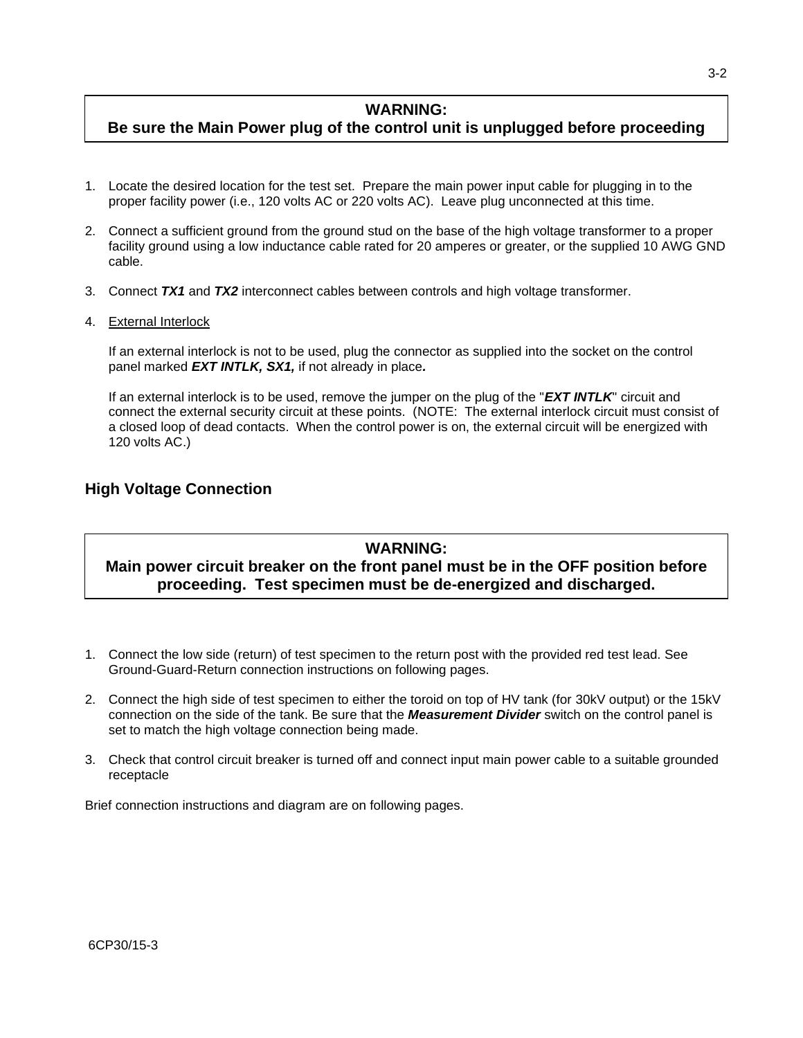### **WARNING:**

# **Be sure the Main Power plug of the control unit is unplugged before proceeding**

- 1. Locate the desired location for the test set. Prepare the main power input cable for plugging in to the proper facility power (i.e., 120 volts AC or 220 volts AC). Leave plug unconnected at this time.
- 2. Connect a sufficient ground from the ground stud on the base of the high voltage transformer to a proper facility ground using a low inductance cable rated for 20 amperes or greater, or the supplied 10 AWG GND cable.
- 3. Connect *TX1* and *TX2* interconnect cables between controls and high voltage transformer.
- 4. External Interlock

If an external interlock is not to be used, plug the connector as supplied into the socket on the control panel marked *EXT INTLK, SX1,* if not already in place*.*

If an external interlock is to be used, remove the jumper on the plug of the "*EXT INTLK*" circuit and connect the external security circuit at these points. (NOTE: The external interlock circuit must consist of a closed loop of dead contacts. When the control power is on, the external circuit will be energized with 120 volts AC.)

### **High Voltage Connection**

### **WARNING:**

**Main power circuit breaker on the front panel must be in the OFF position before proceeding. Test specimen must be de-energized and discharged.**

- 1. Connect the low side (return) of test specimen to the return post with the provided red test lead. See Ground-Guard-Return connection instructions on following pages.
- 2. Connect the high side of test specimen to either the toroid on top of HV tank (for 30kV output) or the 15kV connection on the side of the tank. Be sure that the *Measurement Divider* switch on the control panel is set to match the high voltage connection being made.
- 3. Check that control circuit breaker is turned off and connect input main power cable to a suitable grounded receptacle

Brief connection instructions and diagram are on following pages.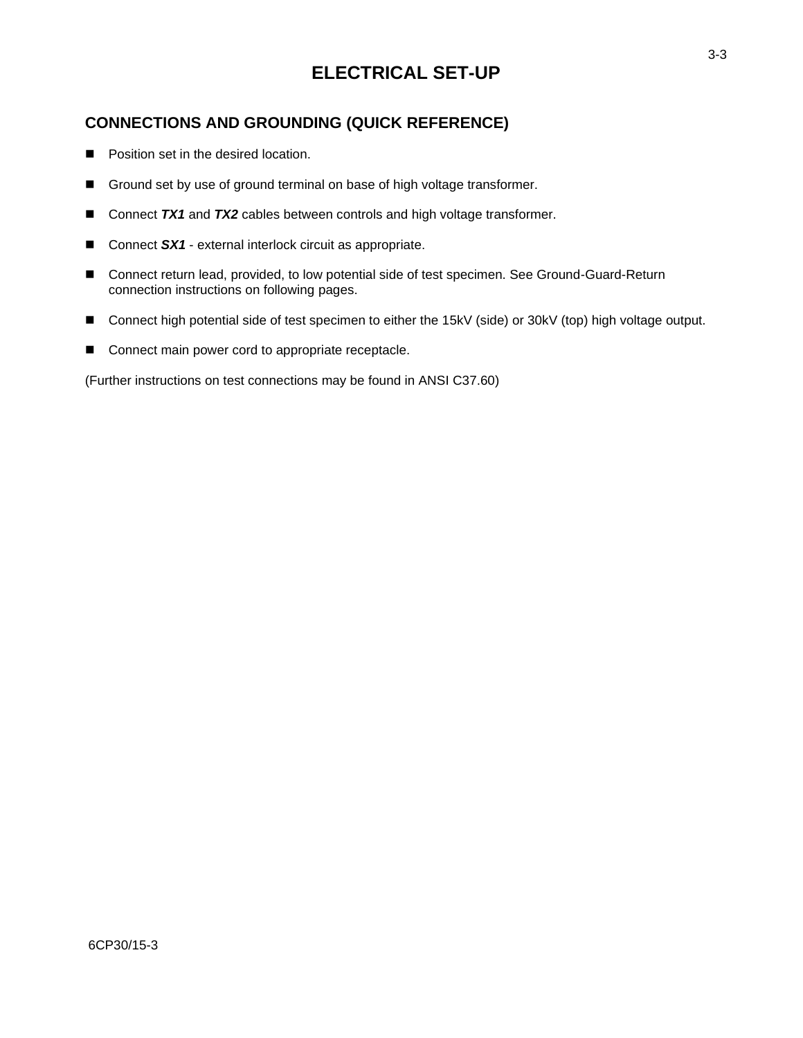# **ELECTRICAL SET-UP**

# **CONNECTIONS AND GROUNDING (QUICK REFERENCE)**

- Position set in the desired location.
- Ground set by use of ground terminal on base of high voltage transformer.
- Connect **TX1** and **TX2** cables between controls and high voltage transformer.
- Connect SX1 external interlock circuit as appropriate.
- Connect return lead, provided, to low potential side of test specimen. See Ground-Guard-Return connection instructions on following pages.
- Connect high potential side of test specimen to either the 15kV (side) or 30kV (top) high voltage output.
- Connect main power cord to appropriate receptacle.

(Further instructions on test connections may be found in ANSI C37.60)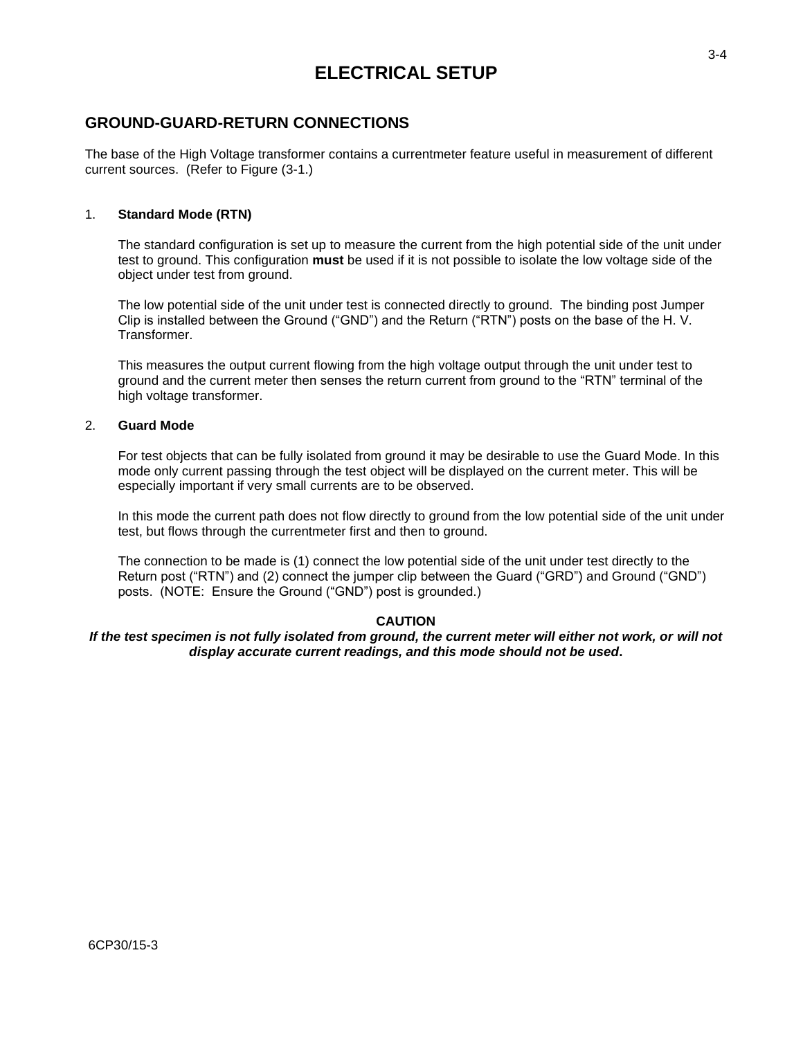# **ELECTRICAL SETUP**

# **GROUND-GUARD-RETURN CONNECTIONS**

The base of the High Voltage transformer contains a currentmeter feature useful in measurement of different current sources. (Refer to Figure (3-1.)

### 1. **Standard Mode (RTN)**

The standard configuration is set up to measure the current from the high potential side of the unit under test to ground. This configuration **must** be used if it is not possible to isolate the low voltage side of the object under test from ground.

The low potential side of the unit under test is connected directly to ground. The binding post Jumper Clip is installed between the Ground ("GND") and the Return ("RTN") posts on the base of the H. V. Transformer.

This measures the output current flowing from the high voltage output through the unit under test to ground and the current meter then senses the return current from ground to the "RTN" terminal of the high voltage transformer.

### 2. **Guard Mode**

For test objects that can be fully isolated from ground it may be desirable to use the Guard Mode. In this mode only current passing through the test object will be displayed on the current meter. This will be especially important if very small currents are to be observed.

In this mode the current path does not flow directly to ground from the low potential side of the unit under test, but flows through the currentmeter first and then to ground.

The connection to be made is (1) connect the low potential side of the unit under test directly to the Return post ("RTN") and (2) connect the jumper clip between the Guard ("GRD") and Ground ("GND") posts. (NOTE: Ensure the Ground ("GND") post is grounded.)

### **CAUTION**

*If the test specimen is not fully isolated from ground, the current meter will either not work, or will not display accurate current readings, and this mode should not be used***.**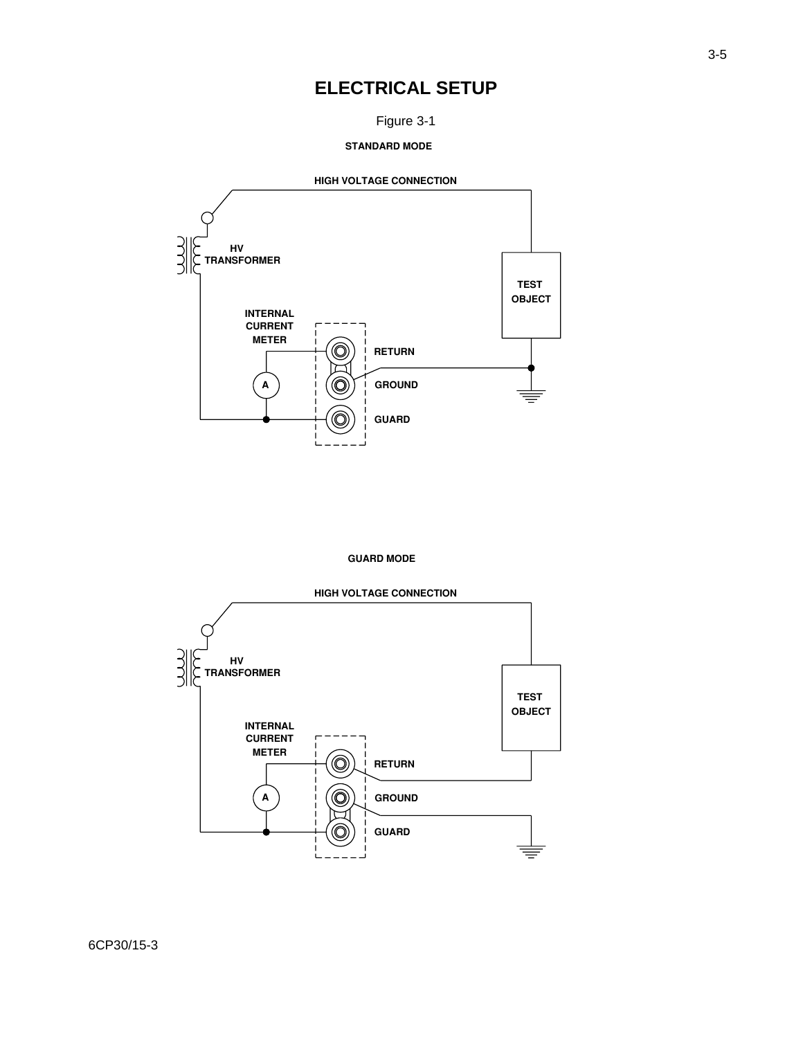# **ELECTRICAL SETUP**

Figure 3-1

### **STANDARD MODE**



### **GUARD MODE**

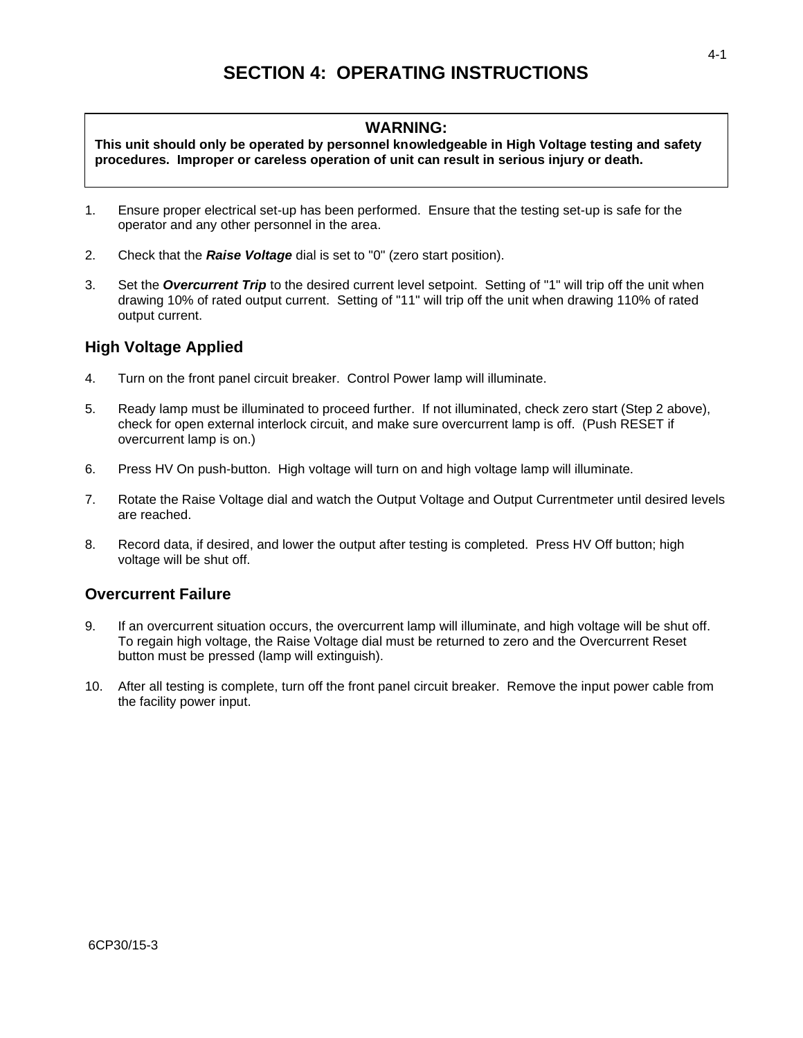### **WARNING:**

**This unit should only be operated by personnel knowledgeable in High Voltage testing and safety procedures. Improper or careless operation of unit can result in serious injury or death.**

- 1. Ensure proper electrical set-up has been performed. Ensure that the testing set-up is safe for the operator and any other personnel in the area.
- 2. Check that the *Raise Voltage* dial is set to "0" (zero start position).
- 3. Set the *Overcurrent Trip* to the desired current level setpoint. Setting of "1" will trip off the unit when drawing 10% of rated output current. Setting of "11" will trip off the unit when drawing 110% of rated output current.

### **High Voltage Applied**

- 4. Turn on the front panel circuit breaker. Control Power lamp will illuminate.
- 5. Ready lamp must be illuminated to proceed further. If not illuminated, check zero start (Step 2 above), check for open external interlock circuit, and make sure overcurrent lamp is off. (Push RESET if overcurrent lamp is on.)
- 6. Press HV On push-button. High voltage will turn on and high voltage lamp will illuminate.
- 7. Rotate the Raise Voltage dial and watch the Output Voltage and Output Currentmeter until desired levels are reached.
- 8. Record data, if desired, and lower the output after testing is completed. Press HV Off button; high voltage will be shut off.

# **Overcurrent Failure**

- 9. If an overcurrent situation occurs, the overcurrent lamp will illuminate, and high voltage will be shut off. To regain high voltage, the Raise Voltage dial must be returned to zero and the Overcurrent Reset button must be pressed (lamp will extinguish).
- 10. After all testing is complete, turn off the front panel circuit breaker. Remove the input power cable from the facility power input.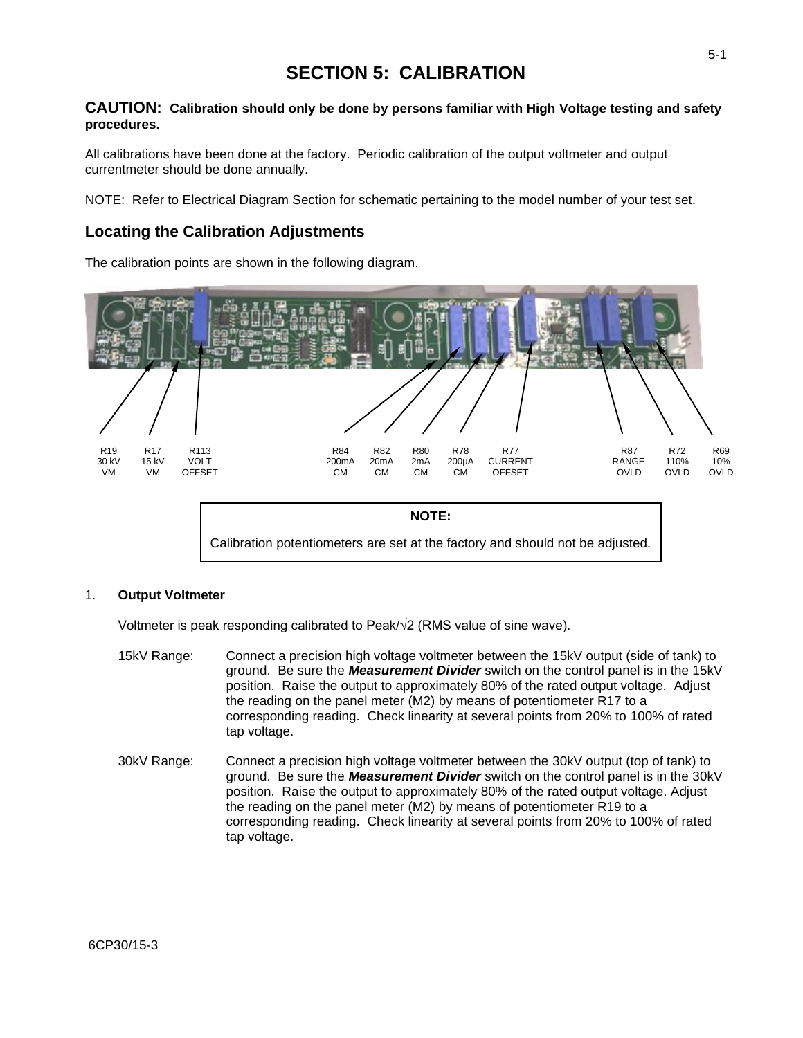# **SECTION 5: CALIBRATION**

### **CAUTION: Calibration should only be done by persons familiar with High Voltage testing and safety procedures.**

All calibrations have been done at the factory. Periodic calibration of the output voltmeter and output currentmeter should be done annually.

NOTE: Refer to Electrical Diagram Section for schematic pertaining to the model number of your test set.

# **Locating the Calibration Adjustments**

The calibration points are shown in the following diagram.





### 1. **Output Voltmeter**

Voltmeter is peak responding calibrated to Peak/√2 (RMS value of sine wave).

- 15kV Range: Connect a precision high voltage voltmeter between the 15kV output (side of tank) to ground. Be sure the *Measurement Divider* switch on the control panel is in the 15kV position. Raise the output to approximately 80% of the rated output voltage. Adjust the reading on the panel meter (M2) by means of potentiometer R17 to a corresponding reading. Check linearity at several points from 20% to 100% of rated tap voltage.
- 30kV Range: Connect a precision high voltage voltmeter between the 30kV output (top of tank) to ground. Be sure the *Measurement Divider* switch on the control panel is in the 30kV position. Raise the output to approximately 80% of the rated output voltage. Adjust the reading on the panel meter (M2) by means of potentiometer R19 to a corresponding reading. Check linearity at several points from 20% to 100% of rated tap voltage.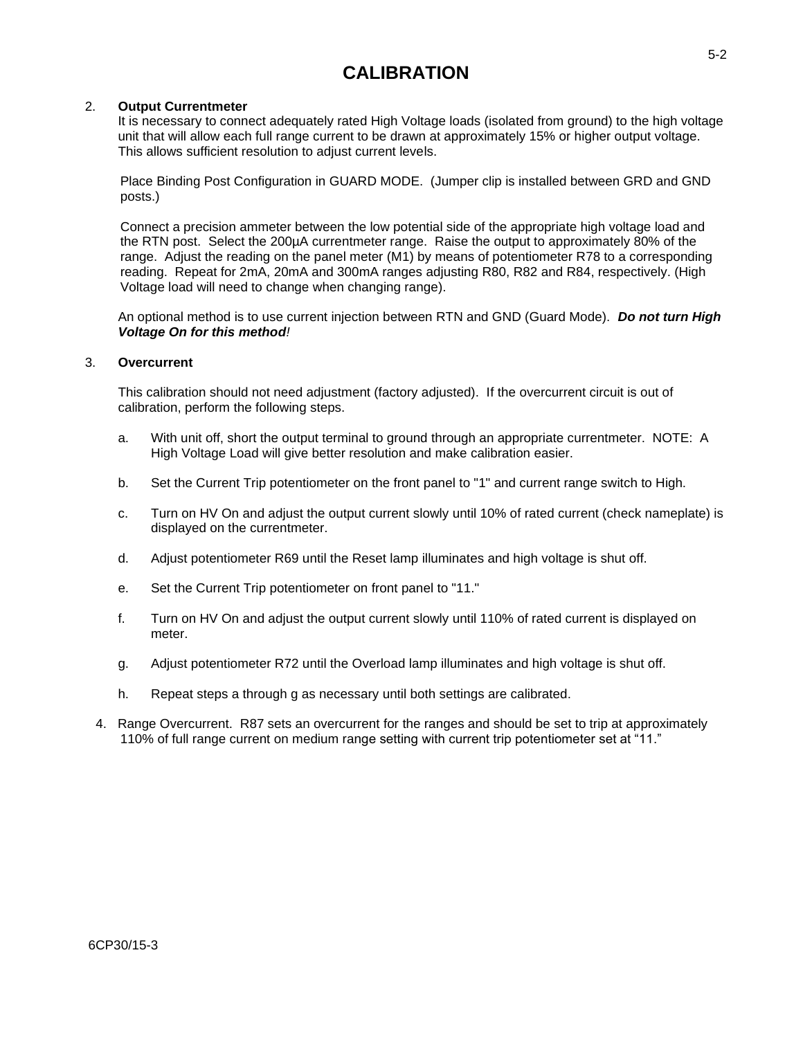# **CALIBRATION**

### 2. **Output Currentmeter**

It is necessary to connect adequately rated High Voltage loads (isolated from ground) to the high voltage unit that will allow each full range current to be drawn at approximately 15% or higher output voltage. This allows sufficient resolution to adjust current levels.

Place Binding Post Configuration in GUARD MODE. (Jumper clip is installed between GRD and GND posts.)

Connect a precision ammeter between the low potential side of the appropriate high voltage load and the RTN post. Select the 200µA currentmeter range. Raise the output to approximately 80% of the range. Adjust the reading on the panel meter (M1) by means of potentiometer R78 to a corresponding reading. Repeat for 2mA, 20mA and 300mA ranges adjusting R80, R82 and R84, respectively. (High Voltage load will need to change when changing range).

An optional method is to use current injection between RTN and GND (Guard Mode). *Do not turn High Voltage On for this method!*

### 3. **Overcurrent**

This calibration should not need adjustment (factory adjusted). If the overcurrent circuit is out of calibration, perform the following steps.

- a. With unit off, short the output terminal to ground through an appropriate currentmeter. NOTE: A High Voltage Load will give better resolution and make calibration easier.
- b. Set the Current Trip potentiometer on the front panel to "1" and current range switch to High.
- c. Turn on HV On and adjust the output current slowly until 10% of rated current (check nameplate) is displayed on the currentmeter.
- d. Adjust potentiometer R69 until the Reset lamp illuminates and high voltage is shut off.
- e. Set the Current Trip potentiometer on front panel to "11."
- f. Turn on HV On and adjust the output current slowly until 110% of rated current is displayed on meter.
- g. Adjust potentiometer R72 until the Overload lamp illuminates and high voltage is shut off.
- h. Repeat steps a through g as necessary until both settings are calibrated.
- 4. Range Overcurrent. R87 sets an overcurrent for the ranges and should be set to trip at approximately 110% of full range current on medium range setting with current trip potentiometer set at "11."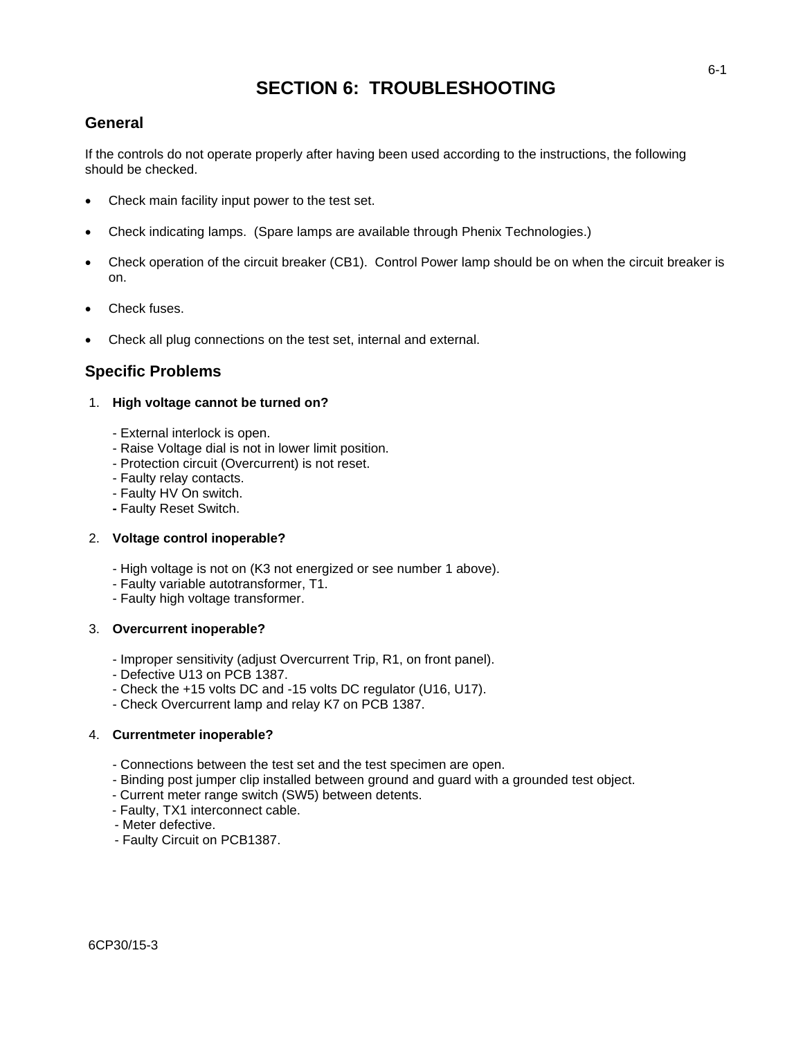# **SECTION 6: TROUBLESHOOTING**

# **General**

If the controls do not operate properly after having been used according to the instructions, the following should be checked.

- Check main facility input power to the test set.
- Check indicating lamps. (Spare lamps are available through Phenix Technologies.)
- Check operation of the circuit breaker (CB1). Control Power lamp should be on when the circuit breaker is on.
- Check fuses.
- Check all plug connections on the test set, internal and external.

# **Specific Problems**

- 1. **High voltage cannot be turned on?**
	- External interlock is open.
	- Raise Voltage dial is not in lower limit position.
	- Protection circuit (Overcurrent) is not reset.
	- Faulty relay contacts.
	- Faulty HV On switch.
	- **-** Faulty Reset Switch.

### 2. **Voltage control inoperable?**

- High voltage is not on (K3 not energized or see number 1 above).
- Faulty variable autotransformer, T1.
- Faulty high voltage transformer.

### 3. **Overcurrent inoperable?**

- Improper sensitivity (adjust Overcurrent Trip, R1, on front panel).
- Defective U13 on PCB 1387.
- Check the +15 volts DC and -15 volts DC regulator (U16, U17).
- Check Overcurrent lamp and relay K7 on PCB 1387.

### 4. **Currentmeter inoperable?**

- Connections between the test set and the test specimen are open.
- Binding post jumper clip installed between ground and guard with a grounded test object.
- Current meter range switch (SW5) between detents.
- Faulty, TX1 interconnect cable.
- Meter defective.
- Faulty Circuit on PCB1387.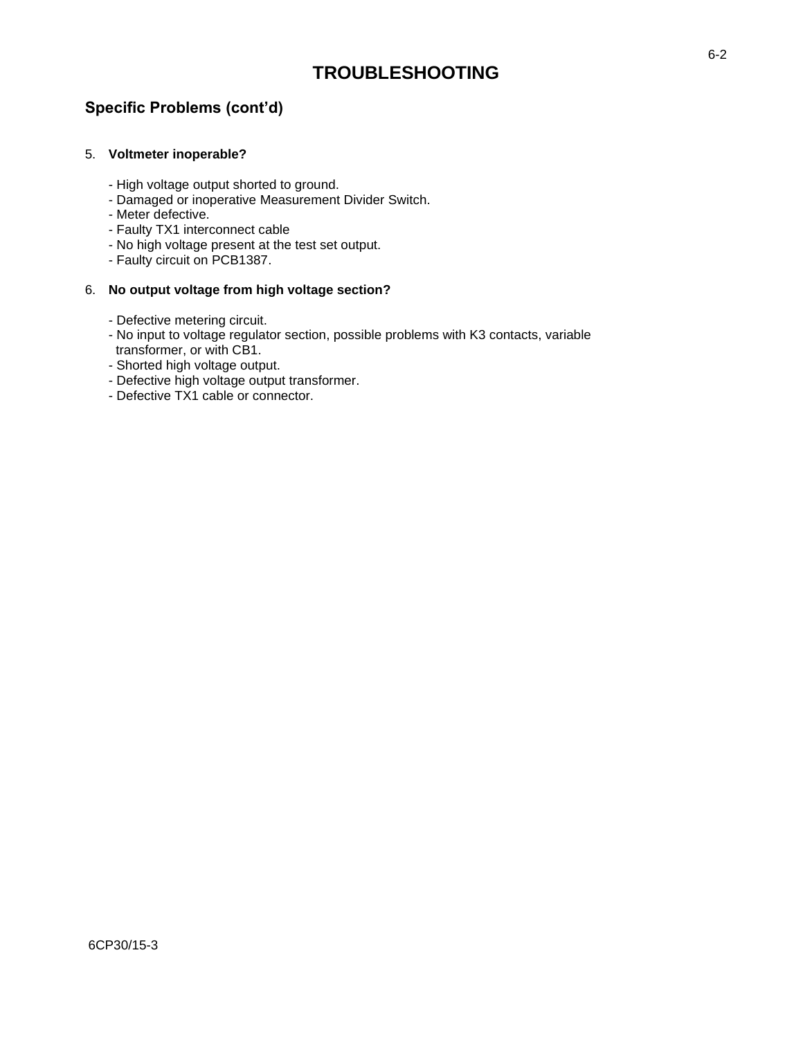# **TROUBLESHOOTING**

# **Specific Problems (cont'd)**

### 5. **Voltmeter inoperable?**

- High voltage output shorted to ground.
- Damaged or inoperative Measurement Divider Switch.
- Meter defective.
- Faulty TX1 interconnect cable
- No high voltage present at the test set output.
- Faulty circuit on PCB1387.

### 6. **No output voltage from high voltage section?**

- Defective metering circuit.
- No input to voltage regulator section, possible problems with K3 contacts, variable transformer, or with CB1.
- Shorted high voltage output.
- Defective high voltage output transformer.
- Defective TX1 cable or connector.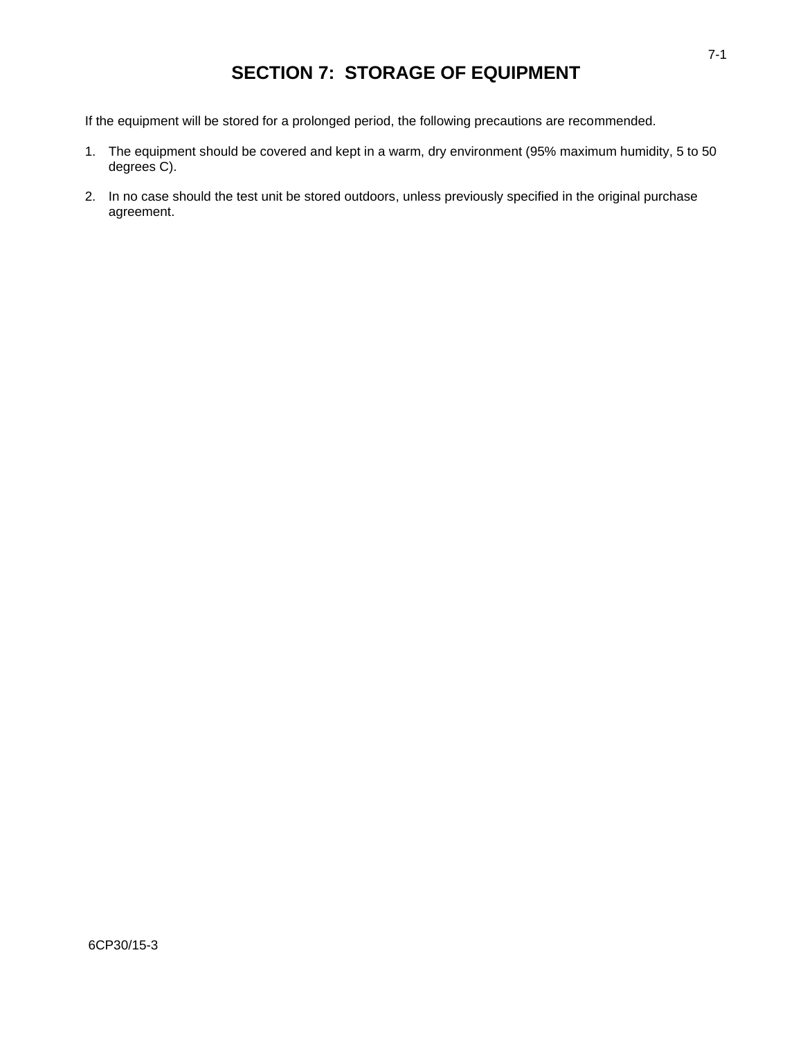# **SECTION 7: STORAGE OF EQUIPMENT**

If the equipment will be stored for a prolonged period, the following precautions are recommended.

- 1. The equipment should be covered and kept in a warm, dry environment (95% maximum humidity, 5 to 50 degrees C).
- 2. In no case should the test unit be stored outdoors, unless previously specified in the original purchase agreement.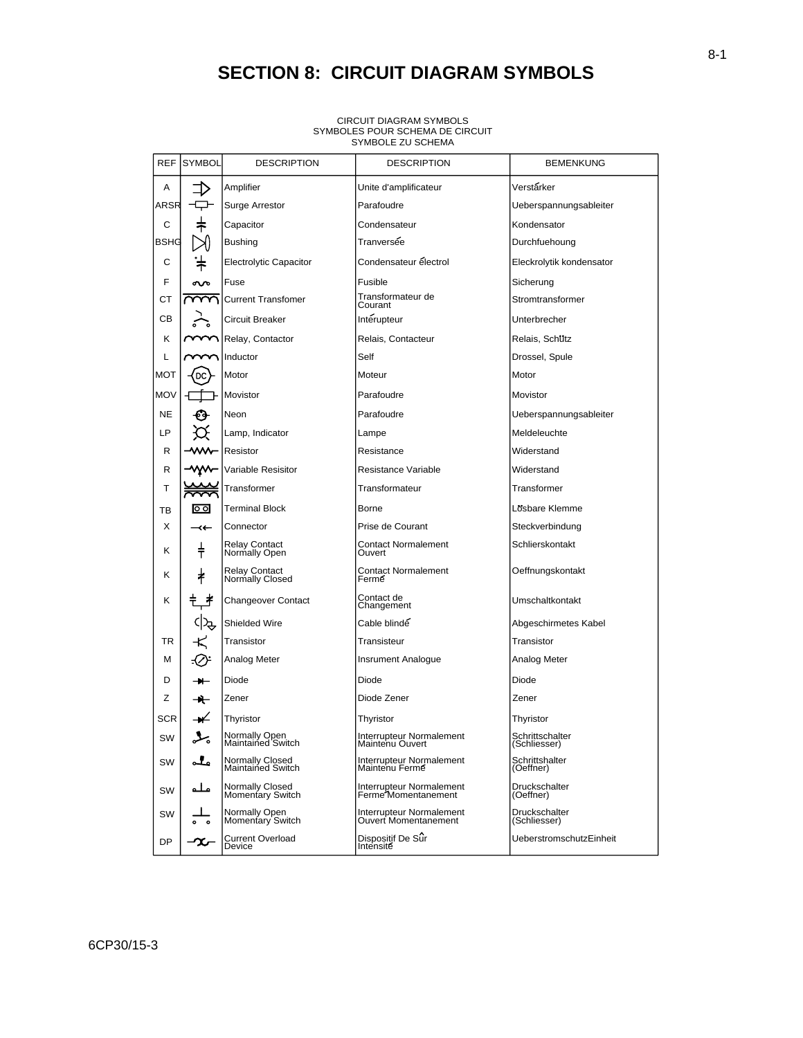# **SECTION 8: CIRCUIT DIAGRAM SYMBOLS**

| REF         | <b>SYMBOL</b>          | <b>DESCRIPTION</b>                        | <b>DESCRIPTION</b>                                      | <b>BEMENKUNG</b>                |
|-------------|------------------------|-------------------------------------------|---------------------------------------------------------|---------------------------------|
| Α           |                        | Amplifier                                 | Unite d'amplificateur                                   | Verstárker                      |
| <b>ARSR</b> |                        | <b>Surge Arrestor</b>                     | Parafoudre                                              | Ueberspannungsableiter          |
| C           | ᆍ                      | Capacitor                                 | Condensateur                                            | Kondensator                     |
| <b>BSHG</b> |                        | <b>Bushing</b>                            | Tranversée                                              | Durchfuehoung                   |
| С           | ᆍ                      | <b>Electrolytic Capacitor</b>             | Condensateur électrol                                   | Eleckrolytik kondensator        |
| F           | ഄ                      | Fuse                                      | Fusible                                                 | Sicherung                       |
| CТ          | YYY                    | <b>Current Transfomer</b>                 | Transformateur de<br>Courant                            | Stromtransformer                |
| CВ          |                        | Circuit Breaker                           | Interupteur                                             | Unterbrecher                    |
| Κ           |                        | Relay, Contactor                          | Relais, Contacteur                                      | Relais, Schütz                  |
| L           |                        | Inductor                                  | Self                                                    | Drossel, Spule                  |
| MOT         | DC                     | Motor                                     | Moteur                                                  | Motor                           |
| <b>MOV</b>  |                        | Movistor                                  | Parafoudre                                              | Movistor                        |
| <b>NE</b>   |                        | Neon                                      | Parafoudre                                              | Ueberspannungsableiter          |
| LP          |                        | Lamp, Indicator                           | Lampe                                                   | Meldeleuchte                    |
| R           | ⇜                      | Resistor                                  | Resistance                                              | Widerstand                      |
| R           |                        | Variable Resisitor                        | Resistance Variable                                     | Widerstand                      |
| T           |                        | Transformer                               | Transformateur                                          | Transformer                     |
| ΤВ          | $\circ$                | Terminal Block                            | Borne                                                   | Lösbare Klemme                  |
| Х           | ⊸                      | Connector                                 | Prise de Courant                                        | Steckverbindung                 |
| Κ           | ╪                      | Relay Contact<br>Normally Open            | Contact Normalement<br>Ouvert                           | Schlierskontakt                 |
| Κ           | ⋠                      | Relay Contact<br>Normally Closed          | Contact Normalement<br>Fermé                            | Oeffnungskontakt                |
| Κ           | ゙゚                     | <b>Changeover Contact</b>                 | Contact de<br>Changement                                | Umschaltkontakt                 |
|             | ⊄ਮੇ                    | Shielded Wire                             | Cable blinde                                            | Abgeschirmetes Kabel            |
| TR          | 长                      | Transistor                                | Transisteur                                             | Transistor                      |
| м           |                        | Analog Meter                              | <b>Insrument Analogue</b>                               | Analog Meter                    |
| D           |                        | Diode                                     | Diode                                                   | Diode                           |
| Ζ           | ↠                      | Zener                                     | Diode Zener                                             | Zener                           |
| SCR         | ₩                      | Thyristor                                 | Thyristor                                               | Thyristor                       |
| SW          | $\mathbf{L}_\circ$     | Normally Open<br><b>Maintained Switch</b> | Interrupteur Normalement<br>Maintenu Ouvert             | Schrittschalter<br>(Schliesser) |
| SW          | علم                    | Normally Closed<br>Maintained Switch      | Interrupteur Normalement<br>Maintenu Fermé              | Schrittshalter<br>(Oeffner)     |
| SW          | ملم                    | Normally Closed<br>Momentary Switch       | Interrupteur Normalement<br>Ferme Momentanement         | Druckschalter<br>(Oeffner)      |
| SW          | $\bullet$<br>$\bullet$ | Normally Open<br>Momentary Switch         | Interrupteur Normalement<br><b>Ouvert Momentanement</b> | Druckschalter<br>(Schliesser)   |
| DP          | τ                      | <b>Current Overload</b><br>Device         | Dispositif De Sûr<br>Intensité                          | UeberstromschutzEinheit         |

SYMBOLE ZU SCHEMA SYMBOLES POUR SCHEMA DE CIRCUIT CIRCUIT DIAGRAM SYMBOLS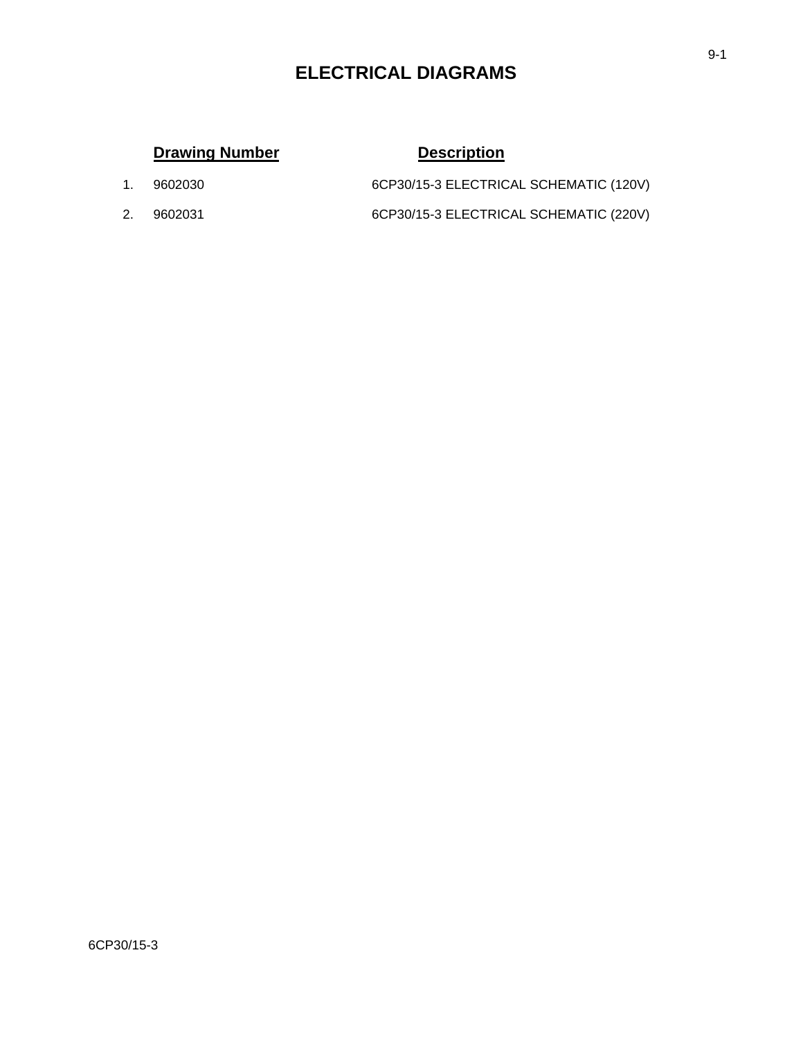# **ELECTRICAL DIAGRAMS**

# **Drawing Number Description**

1. 9602030 6CP30/15-3 ELECTRICAL SCHEMATIC (120V) 2. 9602031 6CP30/15-3 ELECTRICAL SCHEMATIC (220V)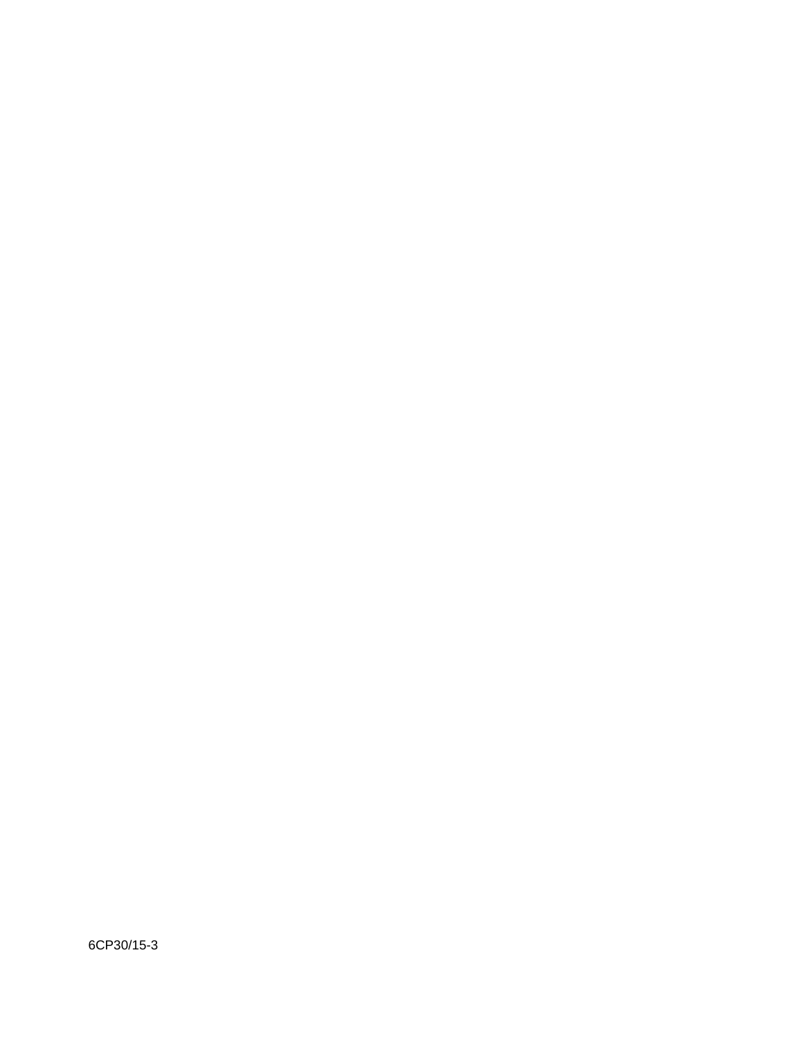6CP30/15-3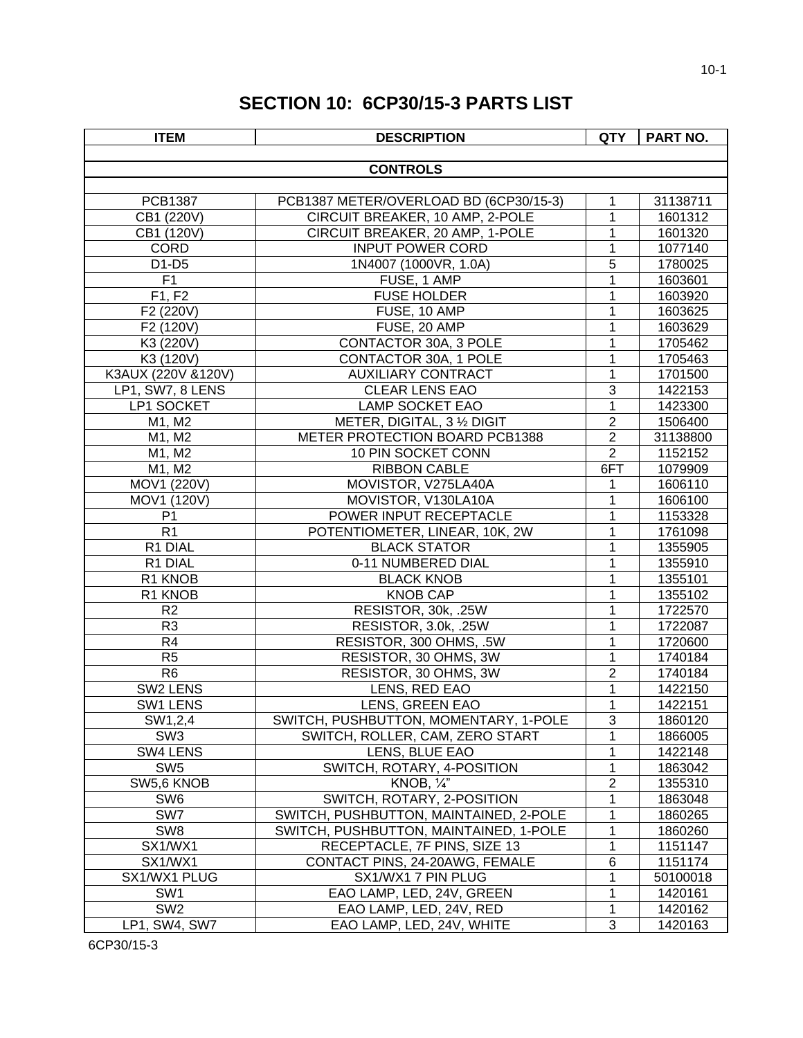# **SECTION 10: 6CP30/15-3 PARTS LIST**

| <b>ITEM</b>        | <b>DESCRIPTION</b>                     | <b>QTY</b>     | PART NO. |
|--------------------|----------------------------------------|----------------|----------|
|                    | <b>CONTROLS</b>                        |                |          |
|                    |                                        |                |          |
| PCB1387            | PCB1387 METER/OVERLOAD BD (6CP30/15-3) | 1              | 31138711 |
| CB1 (220V)         | CIRCUIT BREAKER, 10 AMP, 2-POLE        | $\mathbf{1}$   | 1601312  |
| CB1 (120V)         | CIRCUIT BREAKER, 20 AMP, 1-POLE        | 1              | 1601320  |
| <b>CORD</b>        | <b>INPUT POWER CORD</b>                | 1              | 1077140  |
| $D1-D5$            | 1N4007 (1000VR, 1.0A)                  | $\overline{5}$ | 1780025  |
| F1                 | FUSE, 1 AMP                            | $\mathbf 1$    | 1603601  |
| F1, F2             | <b>FUSE HOLDER</b>                     | 1              | 1603920  |
| F2 (220V)          | FUSE, 10 AMP                           | 1              | 1603625  |
| F2 (120V)          | FUSE, 20 AMP                           | 1              | 1603629  |
| K3 (220V)          | CONTACTOR 30A, 3 POLE                  | 1              | 1705462  |
| K3 (120V)          | CONTACTOR 30A, 1 POLE                  | 1              | 1705463  |
| K3AUX (220V &120V) | <b>AUXILIARY CONTRACT</b>              | $\mathbf 1$    | 1701500  |
| LP1, SW7, 8 LENS   | <b>CLEAR LENS EAO</b>                  | $\overline{3}$ | 1422153  |
| LP1 SOCKET         | <b>LAMP SOCKET EAO</b>                 | $\overline{1}$ | 1423300  |
| M1, M2             | METER, DIGITAL, 3 1/2 DIGIT            | $\overline{2}$ | 1506400  |
| M1, M2             | METER PROTECTION BOARD PCB1388         | $\overline{2}$ | 31138800 |
| M1, M2             | 10 PIN SOCKET CONN                     | $\overline{2}$ | 1152152  |
| M1, M2             | <b>RIBBON CABLE</b>                    | 6FT            | 1079909  |
| MOV1 (220V)        | MOVISTOR, V275LA40A                    | 1              | 1606110  |
| MOV1 (120V)        | MOVISTOR, V130LA10A                    | $\mathbf 1$    | 1606100  |
| P <sub>1</sub>     | POWER INPUT RECEPTACLE                 | 1              | 1153328  |
| R <sub>1</sub>     | POTENTIOMETER, LINEAR, 10K, 2W         | 1              | 1761098  |
| R1 DIAL            | <b>BLACK STATOR</b>                    | 1              | 1355905  |
| R1 DIAL            | 0-11 NUMBERED DIAL                     | 1              | 1355910  |
| R1 KNOB            | <b>BLACK KNOB</b>                      | 1              | 1355101  |
| R1 KNOB            | <b>KNOB CAP</b>                        | 1              | 1355102  |
| R <sub>2</sub>     | RESISTOR, 30k, .25W                    | 1              | 1722570  |
| R <sub>3</sub>     | RESISTOR, 3.0k, .25W                   | 1              | 1722087  |
| R <sub>4</sub>     | RESISTOR, 300 OHMS, .5W                | 1              | 1720600  |
| R <sub>5</sub>     | RESISTOR, 30 OHMS, 3W                  | 1              | 1740184  |
| R <sub>6</sub>     | RESISTOR, 30 OHMS, 3W                  | $\overline{2}$ | 1740184  |
| <b>SW2 LENS</b>    | LENS, RED EAO                          | $\mathbf{1}$   | 1422150  |
| SW1 LENS           | LENS, GREEN EAO                        | $\mathbf{1}$   | 1422151  |
| SW1,2,4            | SWITCH, PUSHBUTTON, MOMENTARY, 1-POLE  | 3              | 1860120  |
| SW <sub>3</sub>    | SWITCH, ROLLER, CAM, ZERO START        | 1              | 1866005  |
| SW4 LENS           | LENS, BLUE EAO                         | 1              | 1422148  |
| SW <sub>5</sub>    | SWITCH, ROTARY, 4-POSITION             | $\mathbf 1$    | 1863042  |
| SW5,6 KNOB         | KNOB, $\overline{\mathcal{U}}$         | $\overline{2}$ | 1355310  |
| SW <sub>6</sub>    | SWITCH, ROTARY, 2-POSITION             | 1              | 1863048  |
| SW7                | SWITCH, PUSHBUTTON, MAINTAINED, 2-POLE | 1              | 1860265  |
| SW8                | SWITCH, PUSHBUTTON, MAINTAINED, 1-POLE | 1              | 1860260  |
| SX1/WX1            | RECEPTACLE, 7F PINS, SIZE 13           | 1              | 1151147  |
| SX1/WX1            | CONTACT PINS, 24-20AWG, FEMALE         | 6              | 1151174  |
| SX1/WX1 PLUG       | SX1/WX1 7 PIN PLUG                     | 1              | 50100018 |
| SW <sub>1</sub>    | EAO LAMP, LED, 24V, GREEN              | 1              | 1420161  |
| SW <sub>2</sub>    | EAO LAMP, LED, 24V, RED                | 1              | 1420162  |
| LP1, SW4, SW7      | EAO LAMP, LED, 24V, WHITE              | $\overline{3}$ | 1420163  |

6CP30/15-3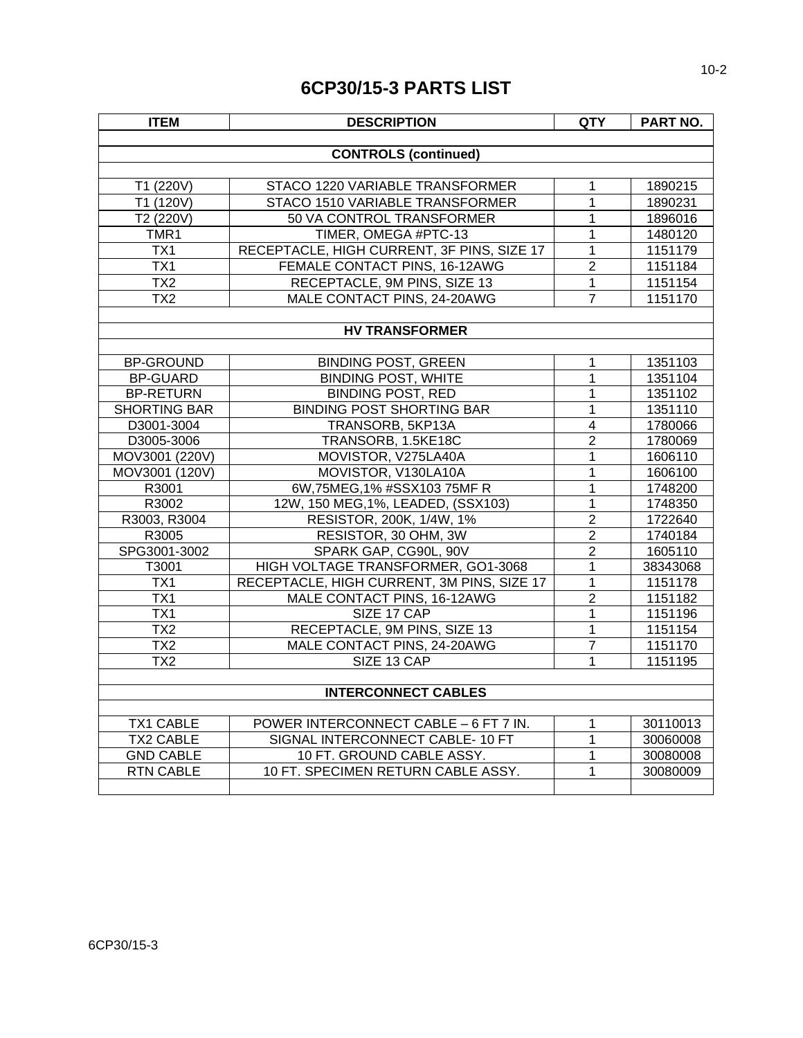# **6CP30/15-3 PARTS LIST**

| <b>ITEM</b>         | <b>DESCRIPTION</b>                         | <b>QTY</b>     | PART NO. |
|---------------------|--------------------------------------------|----------------|----------|
|                     |                                            |                |          |
|                     | <b>CONTROLS (continued)</b>                |                |          |
|                     |                                            |                |          |
| T1 (220V)           | STACO 1220 VARIABLE TRANSFORMER            | 1              | 1890215  |
| T1 (120V)           | STACO 1510 VARIABLE TRANSFORMER            | $\mathbf{1}$   | 1890231  |
| T2 (220V)           | 50 VA CONTROL TRANSFORMER                  | $\overline{1}$ | 1896016  |
| TMR1                | TIMER, OMEGA #PTC-13                       | 1              | 1480120  |
| TX1                 | RECEPTACLE, HIGH CURRENT, 3F PINS, SIZE 17 | 1              | 1151179  |
| TX1                 | FEMALE CONTACT PINS, 16-12AWG              | $\overline{2}$ | 1151184  |
| $\overline{TX2}$    | RECEPTACLE, 9M PINS, SIZE 13               | $\mathbf{1}$   | 1151154  |
| TX <sub>2</sub>     | MALE CONTACT PINS, 24-20AWG                | $\overline{7}$ | 1151170  |
|                     |                                            |                |          |
|                     | <b>HV TRANSFORMER</b>                      |                |          |
|                     |                                            |                |          |
| <b>BP-GROUND</b>    | <b>BINDING POST, GREEN</b>                 | 1              | 1351103  |
| <b>BP-GUARD</b>     | <b>BINDING POST, WHITE</b>                 | 1              | 1351104  |
| <b>BP-RETURN</b>    | <b>BINDING POST, RED</b>                   | 1              | 1351102  |
| <b>SHORTING BAR</b> | <b>BINDING POST SHORTING BAR</b>           | 1              | 1351110  |
| D3001-3004          | TRANSORB, 5KP13A                           | $\overline{4}$ | 1780066  |
| D3005-3006          | TRANSORB, 1.5KE18C                         | $\overline{2}$ | 1780069  |
| MOV3001 (220V)      | MOVISTOR, V275LA40A                        | $\mathbf{1}$   | 1606110  |
| MOV3001 (120V)      | MOVISTOR, V130LA10A                        | $\mathbf 1$    | 1606100  |
| R3001               | 6W, 75MEG, 1% #SSX103 75MF R               | $\mathbf 1$    | 1748200  |
| R3002               | 12W, 150 MEG, 1%, LEADED, (SSX103)         | $\mathbf 1$    | 1748350  |
| R3003, R3004        | RESISTOR, 200K, 1/4W, 1%                   | $\overline{2}$ | 1722640  |
| R3005               | RESISTOR, 30 OHM, 3W                       | $\overline{2}$ | 1740184  |
| SPG3001-3002        | SPARK GAP, CG90L, 90V                      | $\overline{2}$ | 1605110  |
| T3001               | HIGH VOLTAGE TRANSFORMER, GO1-3068         | $\overline{1}$ | 38343068 |
| TX1                 | RECEPTACLE, HIGH CURRENT, 3M PINS, SIZE 17 | $\mathbf 1$    | 1151178  |
| TX1                 | MALE CONTACT PINS, 16-12AWG                | $\overline{2}$ | 1151182  |
| TX1                 | SIZE 17 CAP                                | 1              | 1151196  |
| $\overline{TX2}$    | RECEPTACLE, 9M PINS, SIZE 13               | $\overline{1}$ | 1151154  |
| TX <sub>2</sub>     | MALE CONTACT PINS, 24-20AWG                | $\overline{7}$ | 1151170  |
| TX <sub>2</sub>     | SIZE 13 CAP                                | 1              | 1151195  |
|                     |                                            |                |          |
|                     | <b>INTERCONNECT CABLES</b>                 |                |          |
| <b>TX1 CABLE</b>    | POWER INTERCONNECT CABLE - 6 FT 7 IN.      | 1              | 30110013 |
| <b>TX2 CABLE</b>    | SIGNAL INTERCONNECT CABLE-10 FT            | $\mathbf 1$    | 30060008 |
| <b>GND CABLE</b>    | 10 FT. GROUND CABLE ASSY.                  | $\mathbf 1$    | 30080008 |
| <b>RTN CABLE</b>    | 10 FT. SPECIMEN RETURN CABLE ASSY.         | $\mathbf 1$    | 30080009 |
|                     |                                            |                |          |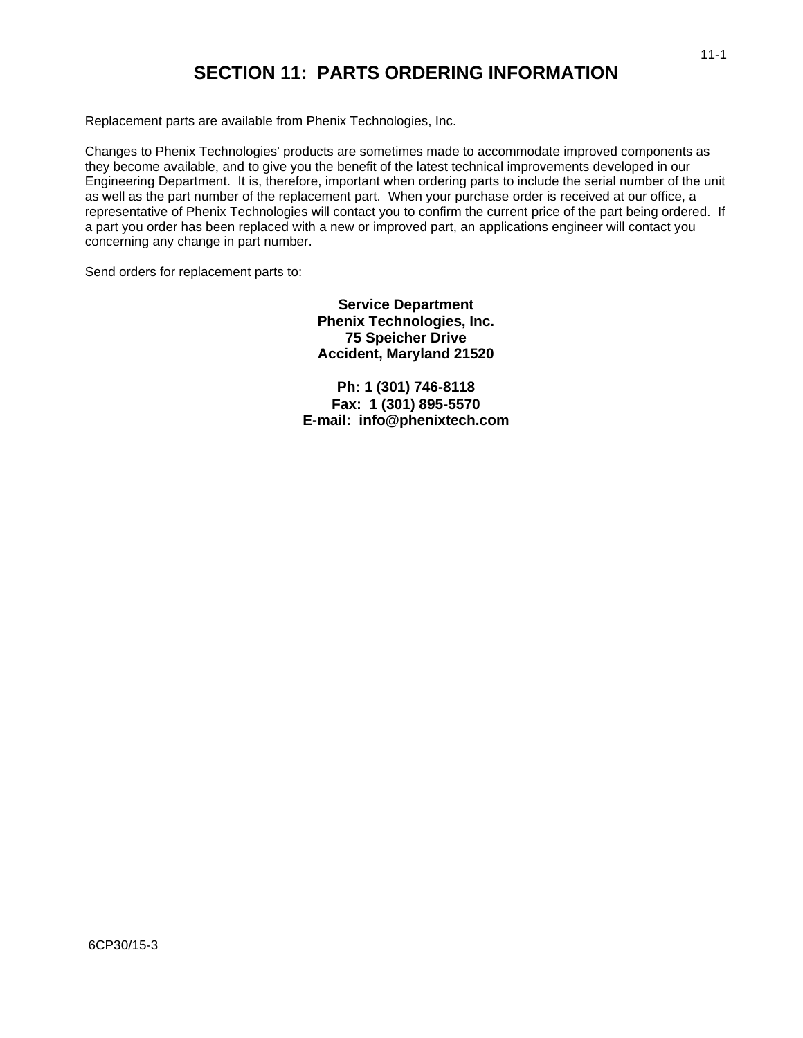# **SECTION 11: PARTS ORDERING INFORMATION**

Replacement parts are available from Phenix Technologies, Inc.

Changes to Phenix Technologies' products are sometimes made to accommodate improved components as they become available, and to give you the benefit of the latest technical improvements developed in our Engineering Department. It is, therefore, important when ordering parts to include the serial number of the unit as well as the part number of the replacement part. When your purchase order is received at our office, a representative of Phenix Technologies will contact you to confirm the current price of the part being ordered. If a part you order has been replaced with a new or improved part, an applications engineer will contact you concerning any change in part number.

Send orders for replacement parts to:

**Service Department Phenix Technologies, Inc. 75 Speicher Drive Accident, Maryland 21520**

**Ph: 1 (301) 746-8118 Fax: 1 (301) 895-5570 E-mail: info@phenixtech.com**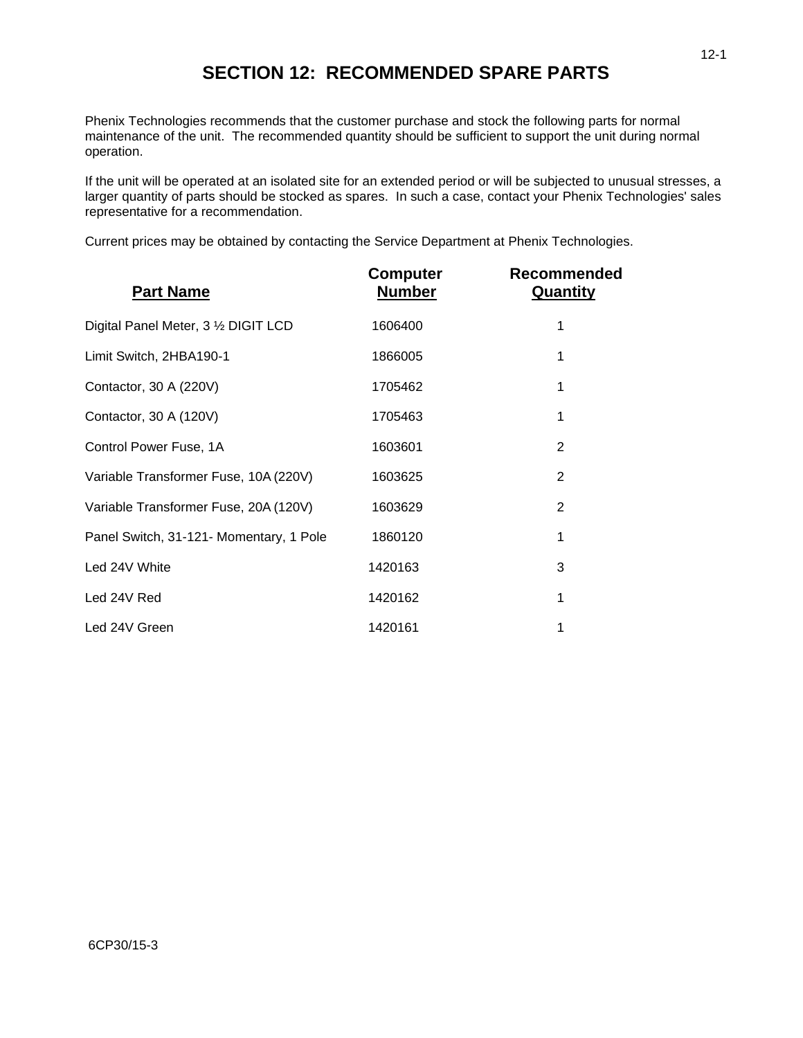# **SECTION 12: RECOMMENDED SPARE PARTS**

Phenix Technologies recommends that the customer purchase and stock the following parts for normal maintenance of the unit. The recommended quantity should be sufficient to support the unit during normal operation.

If the unit will be operated at an isolated site for an extended period or will be subjected to unusual stresses, a larger quantity of parts should be stocked as spares. In such a case, contact your Phenix Technologies' sales representative for a recommendation.

Current prices may be obtained by contacting the Service Department at Phenix Technologies.

| <b>Part Name</b>                        | <b>Computer</b><br><b>Number</b> | Recommended<br>Quantity |
|-----------------------------------------|----------------------------------|-------------------------|
| Digital Panel Meter, 3 1/2 DIGIT LCD    | 1606400                          | 1                       |
| Limit Switch, 2HBA190-1                 | 1866005                          | 1                       |
| Contactor, 30 A (220V)                  | 1705462                          | 1                       |
| Contactor, 30 A (120V)                  | 1705463                          | 1                       |
| Control Power Fuse, 1A                  | 1603601                          | 2                       |
| Variable Transformer Fuse, 10A (220V)   | 1603625                          | 2                       |
| Variable Transformer Fuse, 20A (120V)   | 1603629                          | 2                       |
| Panel Switch, 31-121- Momentary, 1 Pole | 1860120                          | 1                       |
| Led 24V White                           | 1420163                          | 3                       |
| Led 24V Red                             | 1420162                          | 1                       |
| Led 24V Green                           | 1420161                          | 1                       |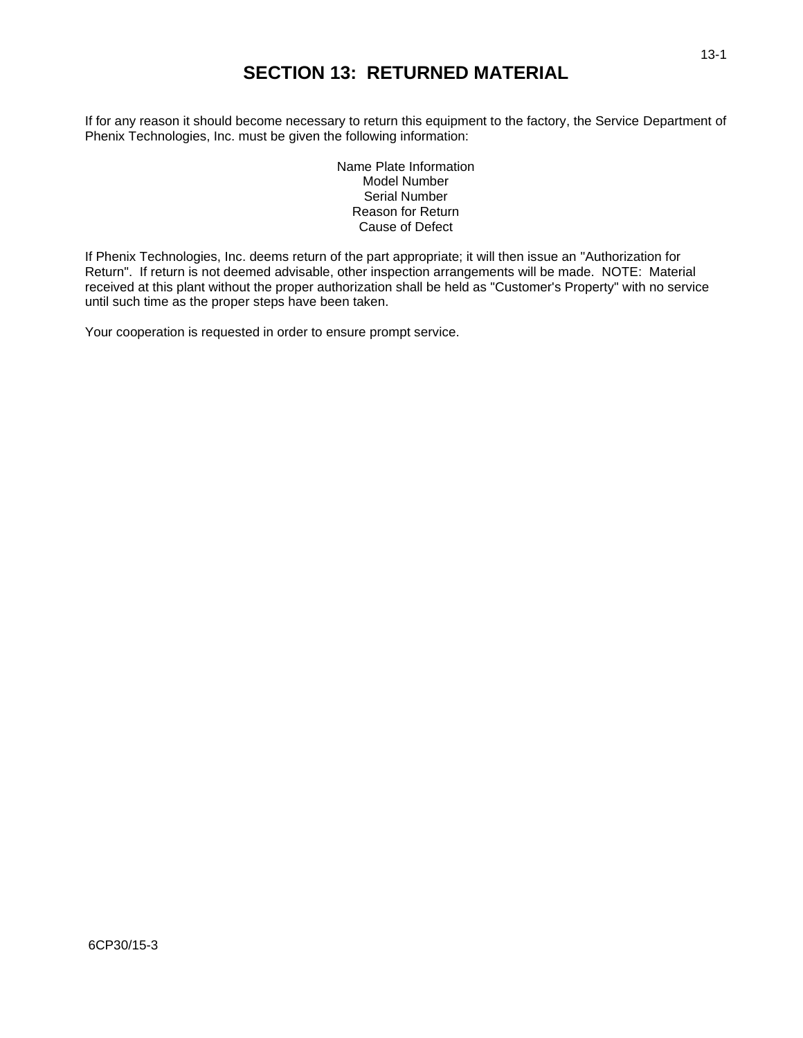# **SECTION 13: RETURNED MATERIAL**

If for any reason it should become necessary to return this equipment to the factory, the Service Department of Phenix Technologies, Inc. must be given the following information:

> Model Number Serial Number Reason for Return Cause of Defect

If Phenix Technologies, Inc. deems return of the part appropriate; it will then issue an "Authorization for Return". If return is not deemed advisable, other inspection arrangements will be made. NOTE: Material received at this plant without the proper authorization shall be held as "Customer's Property" with no service until such time as the proper steps have been taken.

Your cooperation is requested in order to ensure prompt service.